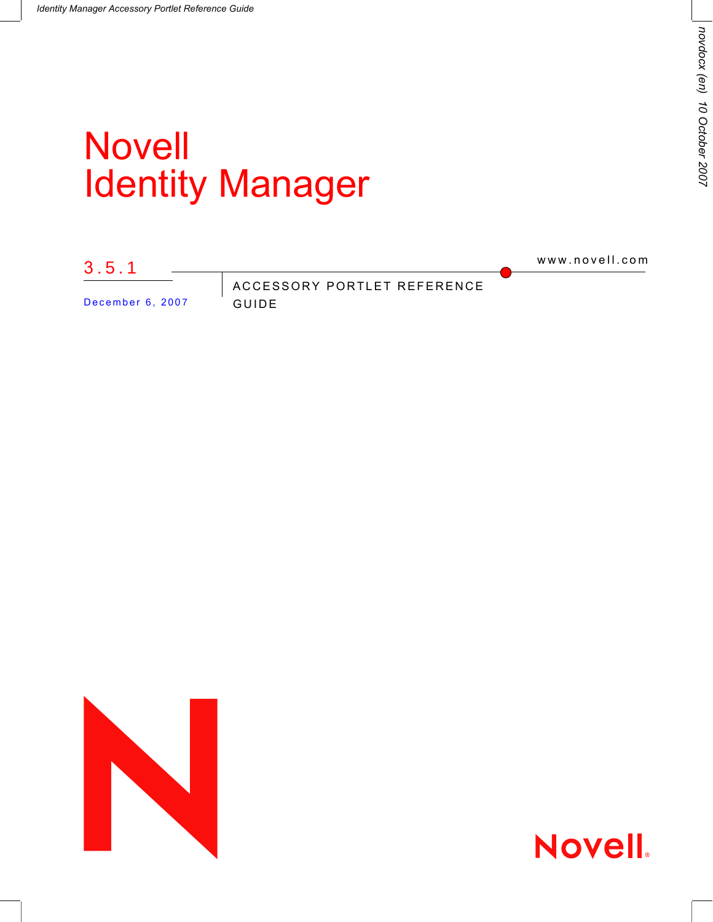# Novell Identity Manager

www.novell.com 3 . 5.1 December 6, 2007 ACCESSORY PORTLET REFERENCE GUIDE



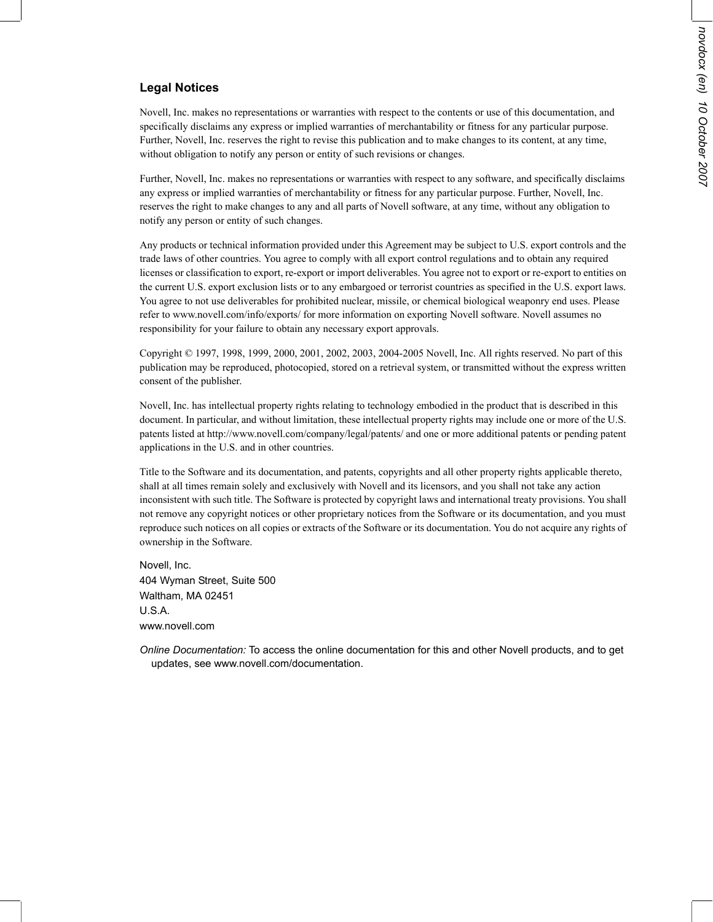#### **Legal Notices**

Novell, Inc. makes no representations or warranties with respect to the contents or use of this documentation, and specifically disclaims any express or implied warranties of merchantability or fitness for any particular purpose. Further, Novell, Inc. reserves the right to revise this publication and to make changes to its content, at any time, without obligation to notify any person or entity of such revisions or changes.

Further, Novell, Inc. makes no representations or warranties with respect to any software, and specifically disclaims any express or implied warranties of merchantability or fitness for any particular purpose. Further, Novell, Inc. reserves the right to make changes to any and all parts of Novell software, at any time, without any obligation to notify any person or entity of such changes.

Any products or technical information provided under this Agreement may be subject to U.S. export controls and the trade laws of other countries. You agree to comply with all export control regulations and to obtain any required licenses or classification to export, re-export or import deliverables. You agree not to export or re-export to entities on the current U.S. export exclusion lists or to any embargoed or terrorist countries as specified in the U.S. export laws. You agree to not use deliverables for prohibited nuclear, missile, or chemical biological weaponry end uses. Please refer to www.novell.com/info/exports/ for more information on exporting Novell software. Novell assumes no responsibility for your failure to obtain any necessary export approvals.

Copyright © 1997, 1998, 1999, 2000, 2001, 2002, 2003, 2004-2005 Novell, Inc. All rights reserved. No part of this publication may be reproduced, photocopied, stored on a retrieval system, or transmitted without the express written consent of the publisher.

Novell, Inc. has intellectual property rights relating to technology embodied in the product that is described in this document. In particular, and without limitation, these intellectual property rights may include one or more of the U.S. patents listed at http://www.novell.com/company/legal/patents/ and one or more additional patents or pending patent applications in the U.S. and in other countries.

Title to the Software and its documentation, and patents, copyrights and all other property rights applicable thereto, shall at all times remain solely and exclusively with Novell and its licensors, and you shall not take any action inconsistent with such title. The Software is protected by copyright laws and international treaty provisions. You shall not remove any copyright notices or other proprietary notices from the Software or its documentation, and you must reproduce such notices on all copies or extracts of the Software or its documentation. You do not acquire any rights of ownership in the Software.

Novell, Inc. 404 Wyman Street, Suite 500 Waltham, MA 02451 U.S.A. www.novell.com

*Online Documentation:* To access the online documentation for this and other Novell products, and to get updates, see www.novell.com/documentation.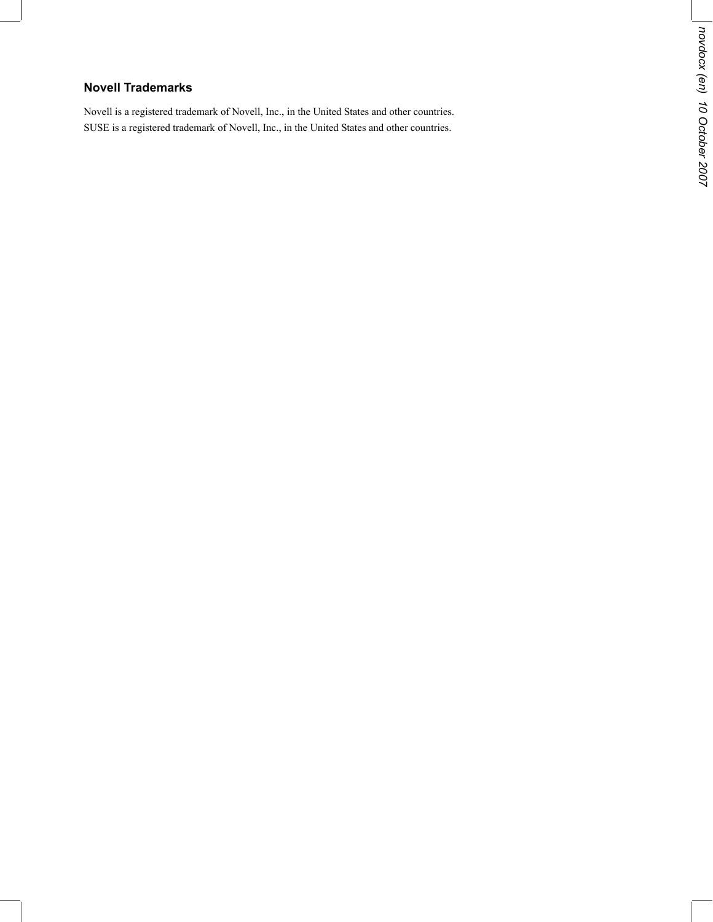#### **Novell Trademarks**

Novell is a registered trademark of Novell, Inc., in the United States and other countries. SUSE is a registered trademark of Novell, Inc., in the United States and other countries.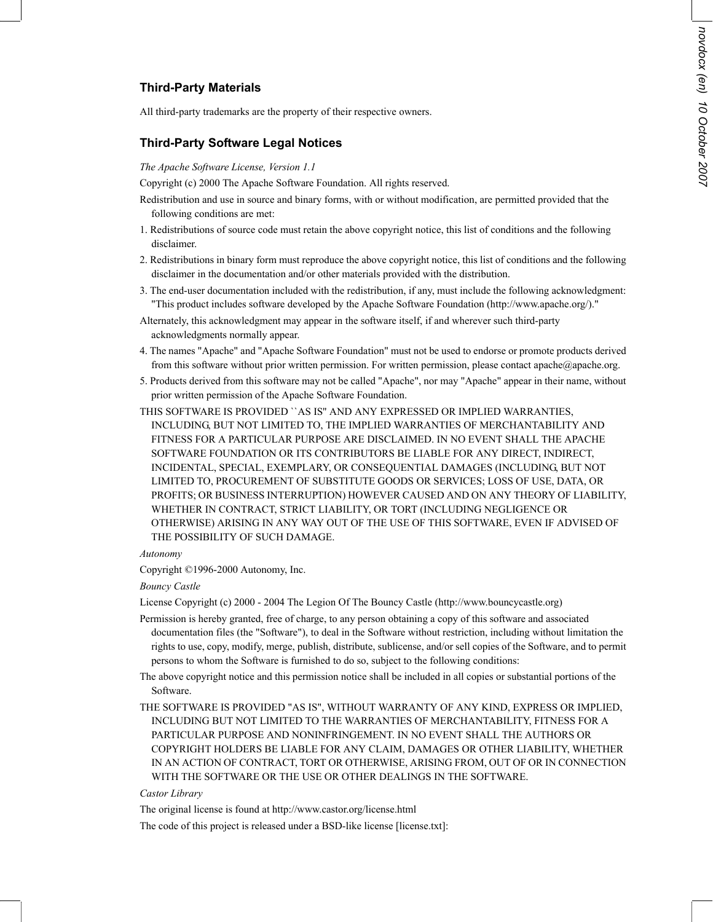#### **Third-Party Materials**

All third-party trademarks are the property of their respective owners.

#### **Third-Party Software Legal Notices**

*The Apache Software License, Version 1.1*

Copyright (c) 2000 The Apache Software Foundation. All rights reserved.

- Redistribution and use in source and binary forms, with or without modification, are permitted provided that the following conditions are met:
- 1. Redistributions of source code must retain the above copyright notice, this list of conditions and the following disclaimer.
- 2. Redistributions in binary form must reproduce the above copyright notice, this list of conditions and the following disclaimer in the documentation and/or other materials provided with the distribution.
- 3. The end-user documentation included with the redistribution, if any, must include the following acknowledgment: "This product includes software developed by the Apache Software Foundation (http://www.apache.org/)."
- Alternately, this acknowledgment may appear in the software itself, if and wherever such third-party acknowledgments normally appear.
- 4. The names "Apache" and "Apache Software Foundation" must not be used to endorse or promote products derived from this software without prior written permission. For written permission, please contact apache@apache.org.
- 5. Products derived from this software may not be called "Apache", nor may "Apache" appear in their name, without prior written permission of the Apache Software Foundation.
- THIS SOFTWARE IS PROVIDED ``AS IS'' AND ANY EXPRESSED OR IMPLIED WARRANTIES, INCLUDING, BUT NOT LIMITED TO, THE IMPLIED WARRANTIES OF MERCHANTABILITY AND FITNESS FOR A PARTICULAR PURPOSE ARE DISCLAIMED. IN NO EVENT SHALL THE APACHE SOFTWARE FOUNDATION OR ITS CONTRIBUTORS BE LIABLE FOR ANY DIRECT, INDIRECT, INCIDENTAL, SPECIAL, EXEMPLARY, OR CONSEQUENTIAL DAMAGES (INCLUDING, BUT NOT LIMITED TO, PROCUREMENT OF SUBSTITUTE GOODS OR SERVICES; LOSS OF USE, DATA, OR PROFITS; OR BUSINESS INTERRUPTION) HOWEVER CAUSED AND ON ANY THEORY OF LIABILITY, WHETHER IN CONTRACT, STRICT LIABILITY, OR TORT (INCLUDING NEGLIGENCE OR OTHERWISE) ARISING IN ANY WAY OUT OF THE USE OF THIS SOFTWARE, EVEN IF ADVISED OF THE POSSIBILITY OF SUCH DAMAGE.

*Autonomy*

Copyright ©1996-2000 Autonomy, Inc.

*Bouncy Castle*

License Copyright (c) 2000 - 2004 The Legion Of The Bouncy Castle (http://www.bouncycastle.org)

- Permission is hereby granted, free of charge, to any person obtaining a copy of this software and associated documentation files (the "Software"), to deal in the Software without restriction, including without limitation the rights to use, copy, modify, merge, publish, distribute, sublicense, and/or sell copies of the Software, and to permit persons to whom the Software is furnished to do so, subject to the following conditions:
- The above copyright notice and this permission notice shall be included in all copies or substantial portions of the Software.
- THE SOFTWARE IS PROVIDED "AS IS", WITHOUT WARRANTY OF ANY KIND, EXPRESS OR IMPLIED, INCLUDING BUT NOT LIMITED TO THE WARRANTIES OF MERCHANTABILITY, FITNESS FOR A PARTICULAR PURPOSE AND NONINFRINGEMENT. IN NO EVENT SHALL THE AUTHORS OR COPYRIGHT HOLDERS BE LIABLE FOR ANY CLAIM, DAMAGES OR OTHER LIABILITY, WHETHER IN AN ACTION OF CONTRACT, TORT OR OTHERWISE, ARISING FROM, OUT OF OR IN CONNECTION WITH THE SOFTWARE OR THE USE OR OTHER DEALINGS IN THE SOFTWARE.

#### *Castor Library*

The original license is found at http://www.castor.org/license.html

The code of this project is released under a BSD-like license [license.txt]: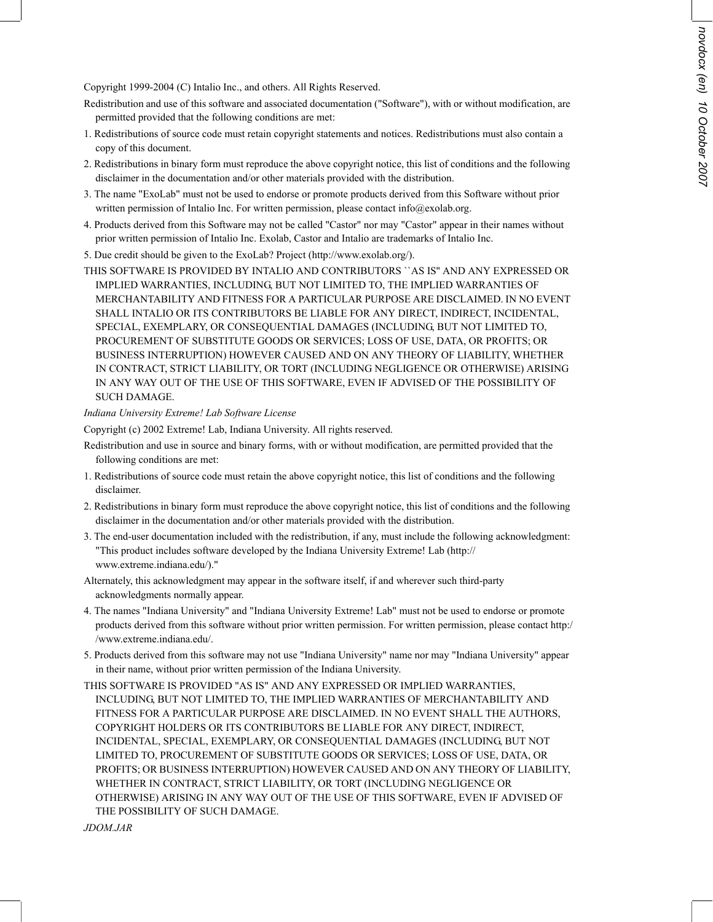Copyright 1999-2004 (C) Intalio Inc., and others. All Rights Reserved.

Redistribution and use of this software and associated documentation ("Software"), with or without modification, are permitted provided that the following conditions are met:

- 1. Redistributions of source code must retain copyright statements and notices. Redistributions must also contain a copy of this document.
- 2. Redistributions in binary form must reproduce the above copyright notice, this list of conditions and the following disclaimer in the documentation and/or other materials provided with the distribution.
- 3. The name "ExoLab" must not be used to endorse or promote products derived from this Software without prior written permission of Intalio Inc. For written permission, please contact info@exolab.org.
- 4. Products derived from this Software may not be called "Castor" nor may "Castor" appear in their names without prior written permission of Intalio Inc. Exolab, Castor and Intalio are trademarks of Intalio Inc.
- 5. Due credit should be given to the ExoLab? Project (http://www.exolab.org/).

THIS SOFTWARE IS PROVIDED BY INTALIO AND CONTRIBUTORS ``AS IS'' AND ANY EXPRESSED OR IMPLIED WARRANTIES, INCLUDING, BUT NOT LIMITED TO, THE IMPLIED WARRANTIES OF MERCHANTABILITY AND FITNESS FOR A PARTICULAR PURPOSE ARE DISCLAIMED. IN NO EVENT SHALL INTALIO OR ITS CONTRIBUTORS BE LIABLE FOR ANY DIRECT, INDIRECT, INCIDENTAL, SPECIAL, EXEMPLARY, OR CONSEQUENTIAL DAMAGES (INCLUDING, BUT NOT LIMITED TO, PROCUREMENT OF SUBSTITUTE GOODS OR SERVICES; LOSS OF USE, DATA, OR PROFITS; OR BUSINESS INTERRUPTION) HOWEVER CAUSED AND ON ANY THEORY OF LIABILITY, WHETHER IN CONTRACT, STRICT LIABILITY, OR TORT (INCLUDING NEGLIGENCE OR OTHERWISE) ARISING IN ANY WAY OUT OF THE USE OF THIS SOFTWARE, EVEN IF ADVISED OF THE POSSIBILITY OF SUCH DAMAGE.

#### *Indiana University Extreme! Lab Software License*

Copyright (c) 2002 Extreme! Lab, Indiana University. All rights reserved.

- Redistribution and use in source and binary forms, with or without modification, are permitted provided that the following conditions are met:
- 1. Redistributions of source code must retain the above copyright notice, this list of conditions and the following disclaimer.
- 2. Redistributions in binary form must reproduce the above copyright notice, this list of conditions and the following disclaimer in the documentation and/or other materials provided with the distribution.
- 3. The end-user documentation included with the redistribution, if any, must include the following acknowledgment: "This product includes software developed by the Indiana University Extreme! Lab (http:// www.extreme.indiana.edu/)."
- Alternately, this acknowledgment may appear in the software itself, if and wherever such third-party acknowledgments normally appear.
- 4. The names "Indiana University" and "Indiana University Extreme! Lab" must not be used to endorse or promote products derived from this software without prior written permission. For written permission, please contact http:/ /www.extreme.indiana.edu/.
- 5. Products derived from this software may not use "Indiana University" name nor may "Indiana University" appear in their name, without prior written permission of the Indiana University.
- THIS SOFTWARE IS PROVIDED "AS IS" AND ANY EXPRESSED OR IMPLIED WARRANTIES, INCLUDING, BUT NOT LIMITED TO, THE IMPLIED WARRANTIES OF MERCHANTABILITY AND FITNESS FOR A PARTICULAR PURPOSE ARE DISCLAIMED. IN NO EVENT SHALL THE AUTHORS, COPYRIGHT HOLDERS OR ITS CONTRIBUTORS BE LIABLE FOR ANY DIRECT, INDIRECT, INCIDENTAL, SPECIAL, EXEMPLARY, OR CONSEQUENTIAL DAMAGES (INCLUDING, BUT NOT LIMITED TO, PROCUREMENT OF SUBSTITUTE GOODS OR SERVICES; LOSS OF USE, DATA, OR PROFITS; OR BUSINESS INTERRUPTION) HOWEVER CAUSED AND ON ANY THEORY OF LIABILITY, WHETHER IN CONTRACT, STRICT LIABILITY, OR TORT (INCLUDING NEGLIGENCE OR OTHERWISE) ARISING IN ANY WAY OUT OF THE USE OF THIS SOFTWARE, EVEN IF ADVISED OF THE POSSIBILITY OF SUCH DAMAGE.

*JDOM.JAR*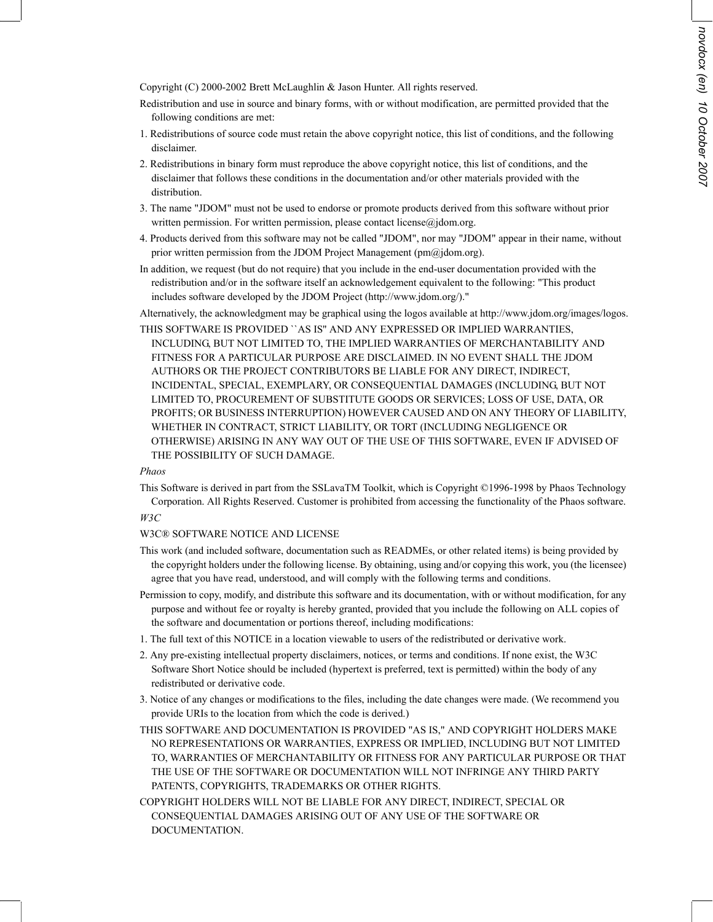Copyright (C) 2000-2002 Brett McLaughlin & Jason Hunter. All rights reserved.

- Redistribution and use in source and binary forms, with or without modification, are permitted provided that the following conditions are met:
- 1. Redistributions of source code must retain the above copyright notice, this list of conditions, and the following disclaimer.
- 2. Redistributions in binary form must reproduce the above copyright notice, this list of conditions, and the disclaimer that follows these conditions in the documentation and/or other materials provided with the distribution.
- 3. The name "JDOM" must not be used to endorse or promote products derived from this software without prior written permission. For written permission, please contact license $\omega$  dom.org.
- 4. Products derived from this software may not be called "JDOM", nor may "JDOM" appear in their name, without prior written permission from the JDOM Project Management (pm@jdom.org).
- In addition, we request (but do not require) that you include in the end-user documentation provided with the redistribution and/or in the software itself an acknowledgement equivalent to the following: "This product includes software developed by the JDOM Project (http://www.jdom.org/)."

Alternatively, the acknowledgment may be graphical using the logos available at http://www.jdom.org/images/logos. THIS SOFTWARE IS PROVIDED ``AS IS'' AND ANY EXPRESSED OR IMPLIED WARRANTIES, INCLUDING, BUT NOT LIMITED TO, THE IMPLIED WARRANTIES OF MERCHANTABILITY AND FITNESS FOR A PARTICULAR PURPOSE ARE DISCLAIMED. IN NO EVENT SHALL THE JDOM AUTHORS OR THE PROJECT CONTRIBUTORS BE LIABLE FOR ANY DIRECT, INDIRECT, INCIDENTAL, SPECIAL, EXEMPLARY, OR CONSEQUENTIAL DAMAGES (INCLUDING, BUT NOT LIMITED TO, PROCUREMENT OF SUBSTITUTE GOODS OR SERVICES; LOSS OF USE, DATA, OR PROFITS; OR BUSINESS INTERRUPTION) HOWEVER CAUSED AND ON ANY THEORY OF LIABILITY, WHETHER IN CONTRACT, STRICT LIABILITY, OR TORT (INCLUDING NEGLIGENCE OR OTHERWISE) ARISING IN ANY WAY OUT OF THE USE OF THIS SOFTWARE, EVEN IF ADVISED OF THE POSSIBILITY OF SUCH DAMAGE.

#### *Phaos*

This Software is derived in part from the SSLavaTM Toolkit, which is Copyright ©1996-1998 by Phaos Technology Corporation. All Rights Reserved. Customer is prohibited from accessing the functionality of the Phaos software.

#### *W3C*

#### W3C® SOFTWARE NOTICE AND LICENSE

- This work (and included software, documentation such as READMEs, or other related items) is being provided by the copyright holders under the following license. By obtaining, using and/or copying this work, you (the licensee) agree that you have read, understood, and will comply with the following terms and conditions.
- Permission to copy, modify, and distribute this software and its documentation, with or without modification, for any purpose and without fee or royalty is hereby granted, provided that you include the following on ALL copies of the software and documentation or portions thereof, including modifications:
- 1. The full text of this NOTICE in a location viewable to users of the redistributed or derivative work.
- 2. Any pre-existing intellectual property disclaimers, notices, or terms and conditions. If none exist, the W3C Software Short Notice should be included (hypertext is preferred, text is permitted) within the body of any redistributed or derivative code.
- 3. Notice of any changes or modifications to the files, including the date changes were made. (We recommend you provide URIs to the location from which the code is derived.)
- THIS SOFTWARE AND DOCUMENTATION IS PROVIDED "AS IS," AND COPYRIGHT HOLDERS MAKE NO REPRESENTATIONS OR WARRANTIES, EXPRESS OR IMPLIED, INCLUDING BUT NOT LIMITED TO, WARRANTIES OF MERCHANTABILITY OR FITNESS FOR ANY PARTICULAR PURPOSE OR THAT THE USE OF THE SOFTWARE OR DOCUMENTATION WILL NOT INFRINGE ANY THIRD PARTY PATENTS, COPYRIGHTS, TRADEMARKS OR OTHER RIGHTS.
- COPYRIGHT HOLDERS WILL NOT BE LIABLE FOR ANY DIRECT, INDIRECT, SPECIAL OR CONSEQUENTIAL DAMAGES ARISING OUT OF ANY USE OF THE SOFTWARE OR DOCUMENTATION.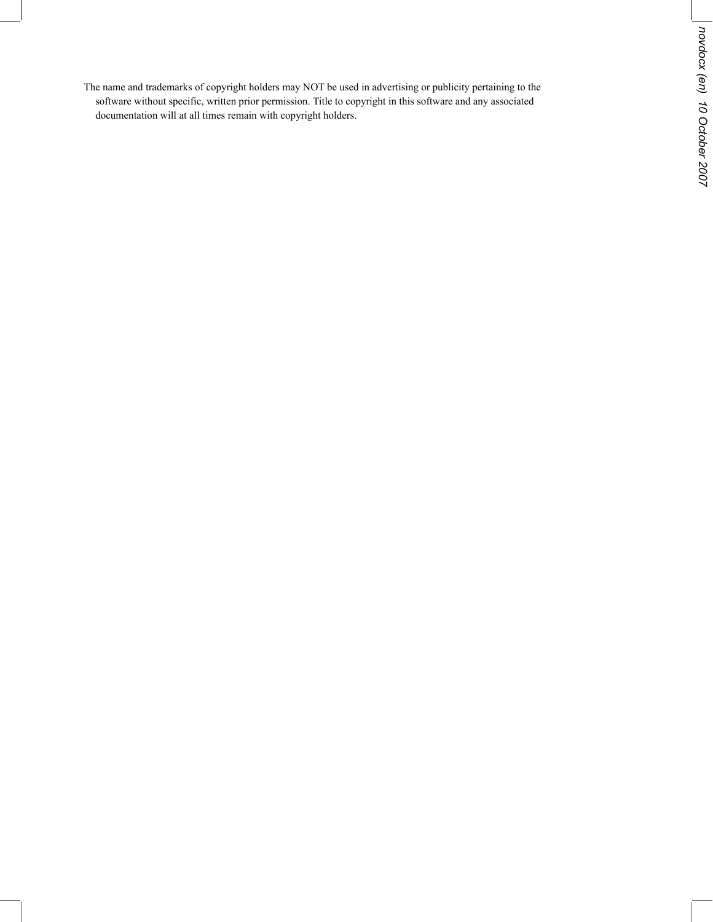The name and trademarks of copyright holders may NOT be used in advertising or publicity pertaining to the software without specific, written prior permission. Title to copyright in this software and any associated documentation will at all times remain with copyright holders.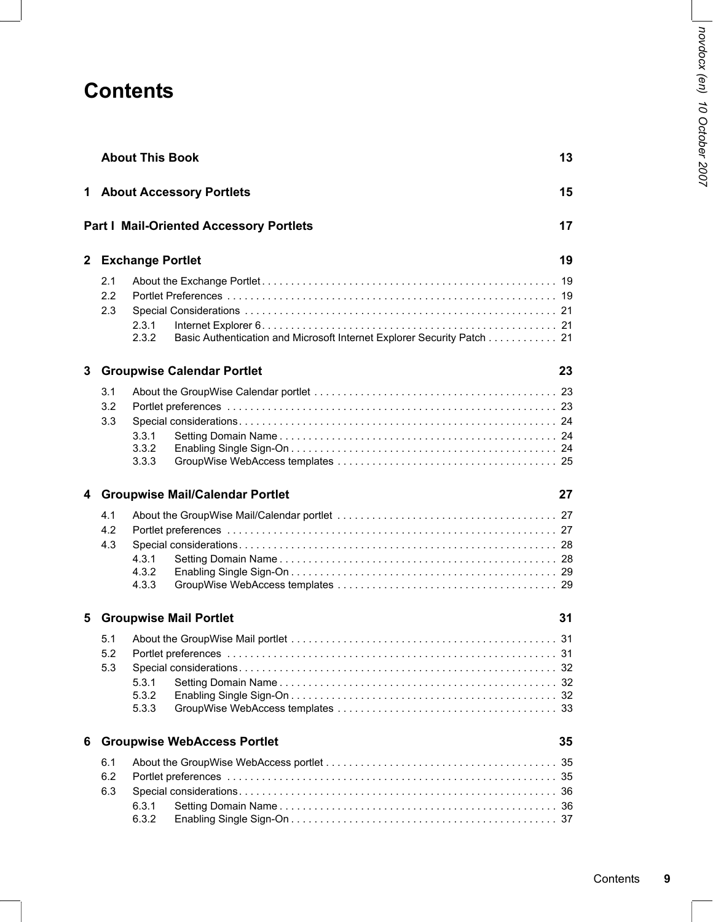## **Contents**

|              |                   | <b>About This Book</b>  |                                                                        | 13 |
|--------------|-------------------|-------------------------|------------------------------------------------------------------------|----|
| 1            |                   |                         | <b>About Accessory Portlets</b>                                        | 15 |
|              |                   |                         | <b>Part I Mail-Oriented Accessory Portlets</b>                         | 17 |
| $\mathbf{2}$ |                   | <b>Exchange Portlet</b> |                                                                        | 19 |
|              | 2.1<br>2.2<br>2.3 | 2.3.1<br>2.3.2          | Basic Authentication and Microsoft Internet Explorer Security Patch 21 |    |
| 3            |                   |                         | <b>Groupwise Calendar Portlet</b>                                      | 23 |
|              | 3.1<br>3.2<br>3.3 | 3.3.1<br>3.3.2<br>3.3.3 |                                                                        |    |
| 4            |                   |                         | <b>Groupwise Mail/Calendar Portlet</b>                                 | 27 |
|              | 4.1<br>4.2<br>4.3 | 4.3.1<br>4.3.2<br>4.3.3 |                                                                        |    |
| 5            |                   |                         | <b>Groupwise Mail Portlet</b>                                          | 31 |
|              | 5.1<br>5.2<br>5.3 | 5.3.1<br>5.3.2<br>5.3.3 |                                                                        |    |
| 6            |                   |                         | <b>Groupwise WebAccess Portlet</b>                                     | 35 |
|              | 6.1<br>6.2<br>6.3 | 6.3.1<br>6.3.2          |                                                                        |    |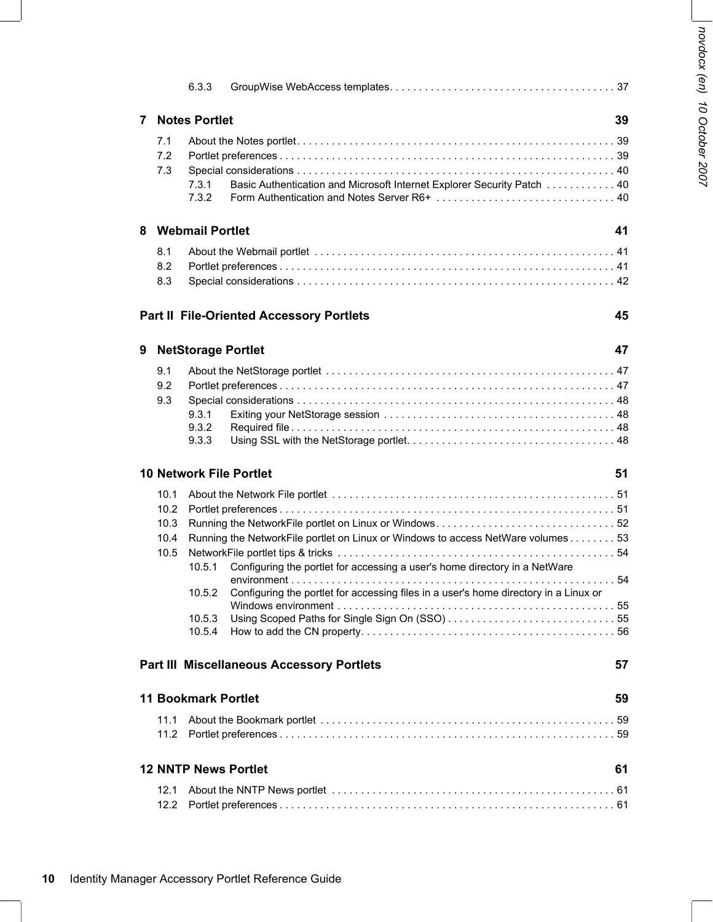|   |              | 6.3.3                      |                                                                                      |    |
|---|--------------|----------------------------|--------------------------------------------------------------------------------------|----|
| 7 |              | <b>Notes Portlet</b>       |                                                                                      | 39 |
|   | 7.1          |                            |                                                                                      |    |
|   | 7.2          |                            |                                                                                      |    |
|   | 7.3          |                            |                                                                                      |    |
|   |              | 7.3.1                      | Basic Authentication and Microsoft Internet Explorer Security Patch  40              |    |
|   |              | 7.3.2                      |                                                                                      |    |
| 8 |              | <b>Webmail Portlet</b>     |                                                                                      | 41 |
|   | 8.1          |                            |                                                                                      |    |
|   | 8.2          |                            |                                                                                      |    |
|   | 8.3          |                            |                                                                                      |    |
|   |              |                            |                                                                                      |    |
|   |              |                            | <b>Part II File-Oriented Accessory Portlets</b>                                      | 45 |
| 9 |              |                            | <b>NetStorage Portlet</b>                                                            | 47 |
|   | 9.1          |                            |                                                                                      |    |
|   | 9.2          |                            |                                                                                      |    |
|   | 9.3          |                            |                                                                                      |    |
|   |              | 9.3.1                      |                                                                                      |    |
|   |              | 9.3.2                      |                                                                                      |    |
|   |              | 9.3.3                      |                                                                                      |    |
|   |              |                            | <b>10 Network File Portlet</b>                                                       | 51 |
|   | 10.1         |                            |                                                                                      |    |
|   | 10.2         |                            |                                                                                      |    |
|   | 10.3         |                            |                                                                                      |    |
|   | 10.4         |                            | Running the NetworkFile portlet on Linux or Windows to access NetWare volumes 53     |    |
|   | 10.5         |                            |                                                                                      |    |
|   |              | 10.5.1                     | Configuring the portlet for accessing a user's home directory in a NetWare           |    |
|   |              | 10.5.2                     | Configuring the portlet for accessing files in a user's home directory in a Linux or |    |
|   |              |                            |                                                                                      |    |
|   |              | 10.5.3                     |                                                                                      |    |
|   |              | 10.5.4                     |                                                                                      |    |
|   |              |                            | <b>Part III Miscellaneous Accessory Portlets</b>                                     | 57 |
|   |              | <b>11 Bookmark Portlet</b> |                                                                                      | 59 |
|   |              |                            |                                                                                      |    |
|   | 11.1<br>11.2 |                            |                                                                                      |    |
|   |              |                            |                                                                                      |    |
|   |              |                            | <b>12 NNTP News Portlet</b>                                                          | 61 |
|   | 12.1         |                            |                                                                                      |    |
|   | 12.2         |                            |                                                                                      |    |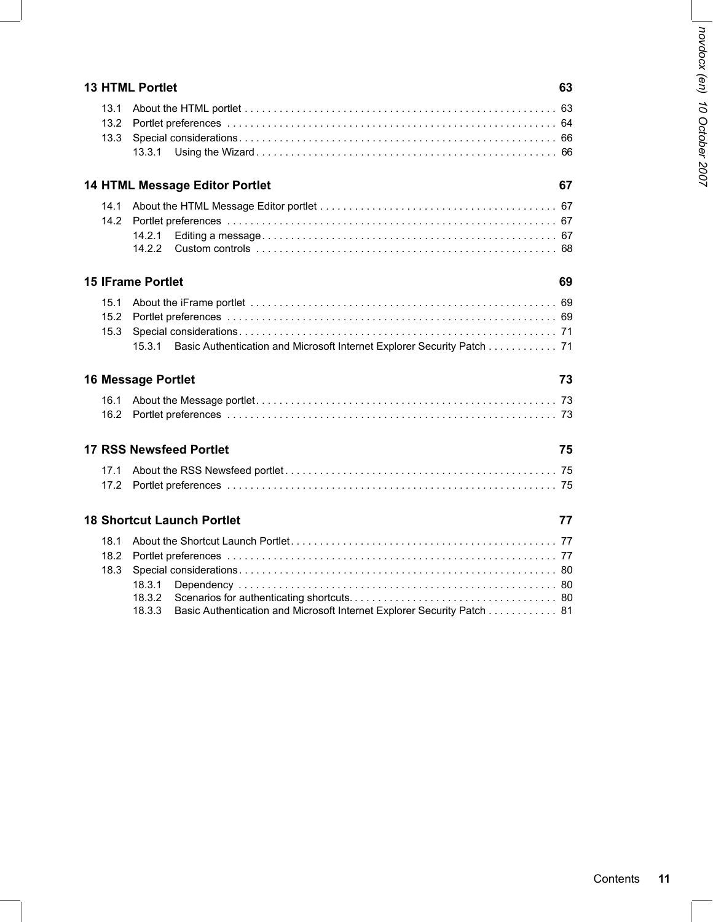|                      | <b>13 HTML Portlet</b>                                                                               | 63 |
|----------------------|------------------------------------------------------------------------------------------------------|----|
| 13.1<br>13.2<br>13.3 | 13.3.1                                                                                               |    |
|                      | <b>14 HTML Message Editor Portlet</b>                                                                | 67 |
| 14.1<br>14.2         | 14.2.1<br>14.2.2                                                                                     |    |
|                      | <b>15 IFrame Portlet</b>                                                                             | 69 |
| 15.1<br>15.2<br>15.3 | Basic Authentication and Microsoft Internet Explorer Security Patch 71<br>15.3.1                     |    |
|                      | <b>16 Message Portlet</b>                                                                            | 73 |
| 16.1<br>16.2         |                                                                                                      |    |
|                      | <b>17 RSS Newsfeed Portlet</b>                                                                       | 75 |
| 17.1<br>17.2         |                                                                                                      |    |
|                      | <b>18 Shortcut Launch Portlet</b>                                                                    | 77 |
| 18.1<br>18.2<br>18.3 | 18.3.1<br>18.3.2<br>Basic Authentication and Microsoft Internet Explorer Security Patch 81<br>18.3.3 |    |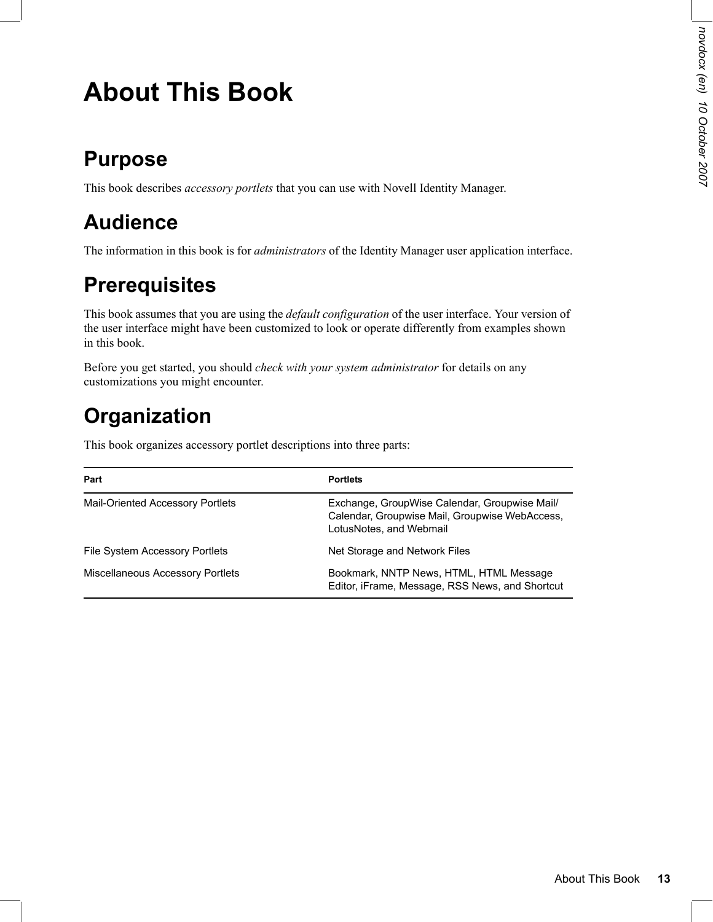# <span id="page-12-0"></span>**About This Book**

## **Purpose**

This book describes *accessory portlets* that you can use with Novell Identity Manager.

# **Audience**

The information in this book is for *administrators* of the Identity Manager user application interface.

## **Prerequisites**

This book assumes that you are using the *default configuration* of the user interface. Your version of the user interface might have been customized to look or operate differently from examples shown in this book.

Before you get started, you should *check with your system administrator* for details on any customizations you might encounter.

## **Organization**

This book organizes accessory portlet descriptions into three parts:

| Part                                    | <b>Portlets</b>                                                                                                            |
|-----------------------------------------|----------------------------------------------------------------------------------------------------------------------------|
| Mail-Oriented Accessory Portlets        | Exchange, GroupWise Calendar, Groupwise Mail/<br>Calendar, Groupwise Mail, Groupwise WebAccess,<br>LotusNotes, and Webmail |
| File System Accessory Portlets          | Net Storage and Network Files                                                                                              |
| <b>Miscellaneous Accessory Portlets</b> | Bookmark, NNTP News, HTML, HTML Message<br>Editor, iFrame, Message, RSS News, and Shortcut                                 |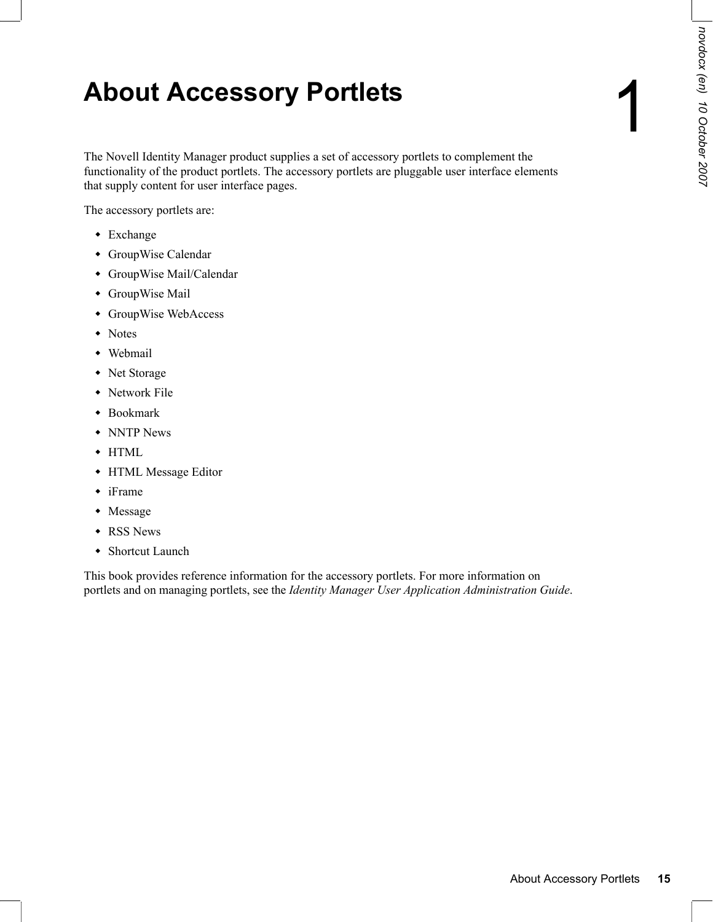# <span id="page-14-0"></span><sup>1</sup>**About Accessory Portlets**

The Novell Identity Manager product supplies a set of accessory portlets to complement the functionality of the product portlets. The accessory portlets are pluggable user interface elements that supply content for user interface pages.

The accessory portlets are:

- Exchange
- GroupWise Calendar
- GroupWise Mail/Calendar
- GroupWise Mail
- GroupWise WebAccess
- Notes
- Webmail
- Net Storage
- Network File
- Bookmark
- NNTP News
- HTML
- HTML Message Editor
- iFrame
- Message
- ◆ RSS News
- Shortcut Launch

This book provides reference information for the accessory portlets. For more information on portlets and on managing portlets, see the *Identity Manager User Application Administration Guide*. 1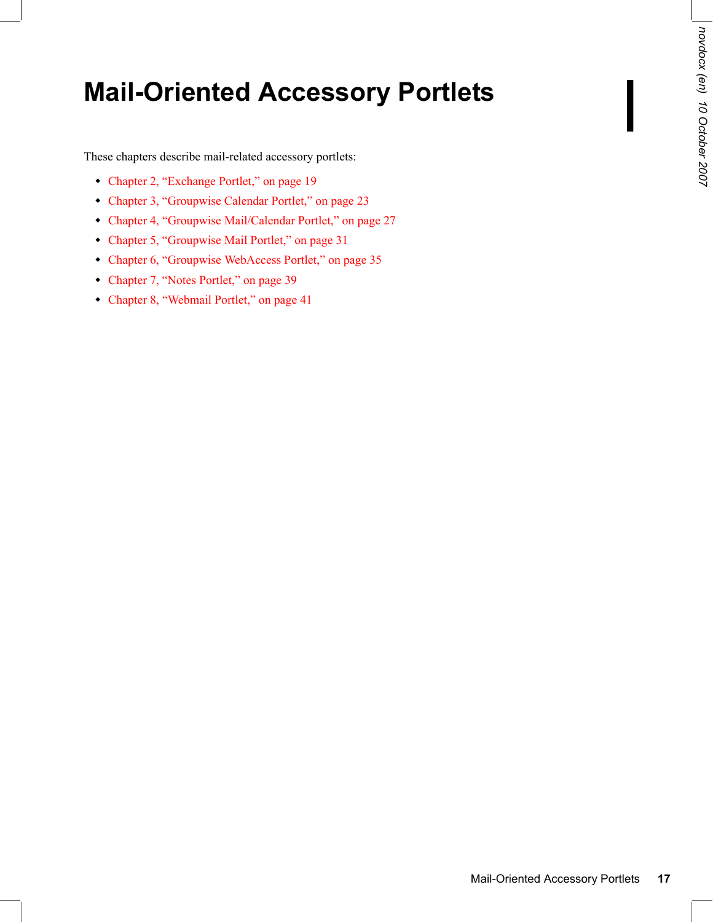# <span id="page-16-0"></span><sup>I</sup>**Mail-Oriented Accessory Portlets**

These chapters describe mail-related accessory portlets:

- [Chapter 2, "Exchange Portlet," on page 19](#page-18-3)
- [Chapter 3, "Groupwise Calendar Portlet," on page 23](#page-22-3)
- [Chapter 4, "Groupwise Mail/Calendar Portlet," on page 27](#page-26-3)
- [Chapter 5, "Groupwise Mail Portlet," on page 31](#page-30-3)
- [Chapter 6, "Groupwise WebAccess Portlet," on page 35](#page-34-3)
- [Chapter 7, "Notes Portlet," on page 39](#page-38-3)
- [Chapter 8, "Webmail Portlet," on page 41](#page-40-3)

I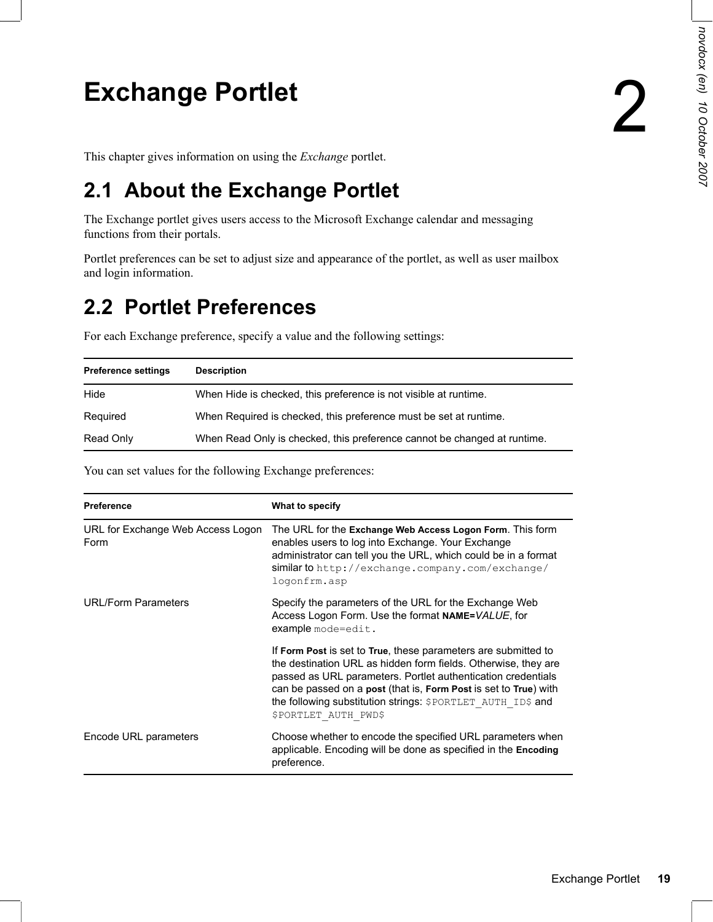# <span id="page-18-3"></span><span id="page-18-0"></span><sup>2</sup>**Exchange Portlet**

This chapter gives information on using the *Exchange* portlet.

## <span id="page-18-1"></span>**2.1 About the Exchange Portlet**

The Exchange portlet gives users access to the Microsoft Exchange calendar and messaging functions from their portals.

Portlet preferences can be set to adjust size and appearance of the portlet, as well as user mailbox and login information.

## <span id="page-18-2"></span>**2.2 Portlet Preferences**

For each Exchange preference, specify a value and the following settings:

| <b>Preference settings</b> | <b>Description</b>                                                       |
|----------------------------|--------------------------------------------------------------------------|
| Hide                       | When Hide is checked, this preference is not visible at runtime.         |
| Required                   | When Required is checked, this preference must be set at runtime.        |
| Read Only                  | When Read Only is checked, this preference cannot be changed at runtime. |

You can set values for the following Exchange preferences:

| Preference                                | What to specify                                                                                                                                                                                                                                                                                                                                           |
|-------------------------------------------|-----------------------------------------------------------------------------------------------------------------------------------------------------------------------------------------------------------------------------------------------------------------------------------------------------------------------------------------------------------|
| URL for Exchange Web Access Logon<br>Form | The URL for the Exchange Web Access Logon Form. This form<br>enables users to log into Exchange. Your Exchange<br>administrator can tell you the URL, which could be in a format<br>similar to http://exchange.company.com/exchange/<br>logonfrm.asp                                                                                                      |
| <b>URL/Form Parameters</b>                | Specify the parameters of the URL for the Exchange Web<br>Access Logon Form. Use the format NAME=VALUE, for<br>example mode=edit.                                                                                                                                                                                                                         |
|                                           | If Form Post is set to True, these parameters are submitted to<br>the destination URL as hidden form fields. Otherwise, they are<br>passed as URL parameters. Portlet authentication credentials<br>can be passed on a post (that is, Form Post is set to True) with<br>the following substitution strings: SPORTLET AUTH IDS and<br>\$PORTLET AUTH PWD\$ |
| Encode URL parameters                     | Choose whether to encode the specified URL parameters when<br>applicable. Encoding will be done as specified in the Encoding<br>preference.                                                                                                                                                                                                               |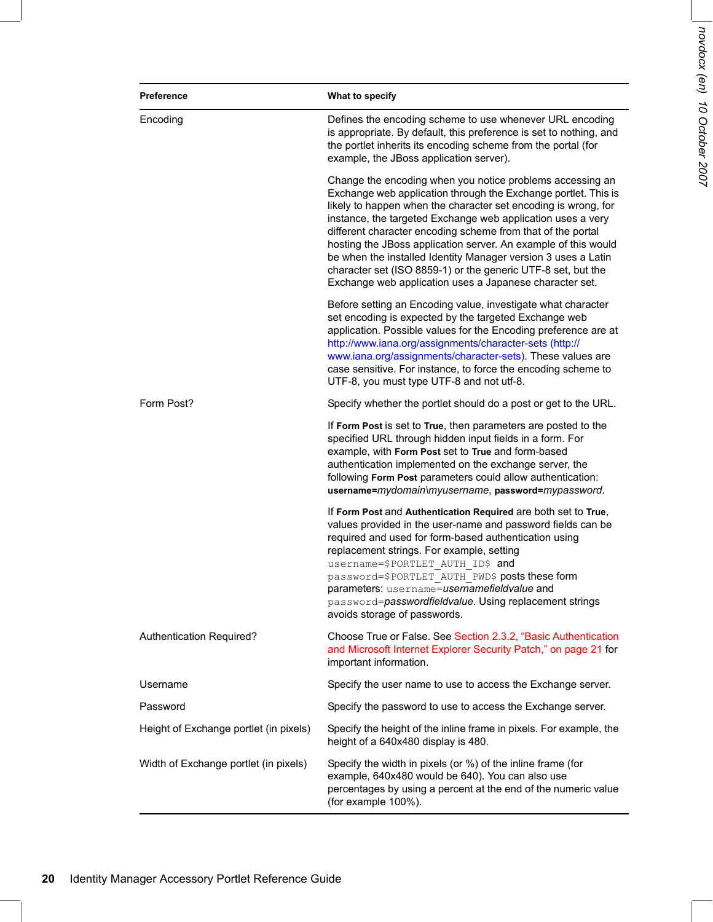| <b>Preference</b>                      | What to specify                                                                                                                                                                                                                                                                                                                                                                                                                                                                                                                                                                           |
|----------------------------------------|-------------------------------------------------------------------------------------------------------------------------------------------------------------------------------------------------------------------------------------------------------------------------------------------------------------------------------------------------------------------------------------------------------------------------------------------------------------------------------------------------------------------------------------------------------------------------------------------|
| Encoding                               | Defines the encoding scheme to use whenever URL encoding<br>is appropriate. By default, this preference is set to nothing, and<br>the portlet inherits its encoding scheme from the portal (for<br>example, the JBoss application server).                                                                                                                                                                                                                                                                                                                                                |
|                                        | Change the encoding when you notice problems accessing an<br>Exchange web application through the Exchange portlet. This is<br>likely to happen when the character set encoding is wrong, for<br>instance, the targeted Exchange web application uses a very<br>different character encoding scheme from that of the portal<br>hosting the JBoss application server. An example of this would<br>be when the installed Identity Manager version 3 uses a Latin<br>character set (ISO 8859-1) or the generic UTF-8 set, but the<br>Exchange web application uses a Japanese character set. |
|                                        | Before setting an Encoding value, investigate what character<br>set encoding is expected by the targeted Exchange web<br>application. Possible values for the Encoding preference are at<br>http://www.iana.org/assignments/character-sets (http://<br>www.iana.org/assignments/character-sets). These values are<br>case sensitive. For instance, to force the encoding scheme to<br>UTF-8, you must type UTF-8 and not utf-8.                                                                                                                                                           |
| Form Post?                             | Specify whether the portlet should do a post or get to the URL.                                                                                                                                                                                                                                                                                                                                                                                                                                                                                                                           |
|                                        | If Form Post is set to True, then parameters are posted to the<br>specified URL through hidden input fields in a form. For<br>example, with Form Post set to True and form-based<br>authentication implemented on the exchange server, the<br>following Form Post parameters could allow authentication:<br>username=mydomain\myusername, password=mypassword.                                                                                                                                                                                                                            |
|                                        | If Form Post and Authentication Required are both set to True,<br>values provided in the user-name and password fields can be<br>required and used for form-based authentication using<br>replacement strings. For example, setting<br>username=\$PORTLET AUTH ID\$ and<br>password=\$PORTLET AUTH PWD\$ posts these form<br>parameters: username=usernamefieldvalue and<br>password=passwordfieldvalue. Using replacement strings<br>avoids storage of passwords.                                                                                                                        |
| Authentication Required?               | Choose True or False. See Section 2.3.2, "Basic Authentication<br>and Microsoft Internet Explorer Security Patch," on page 21 for<br>important information.                                                                                                                                                                                                                                                                                                                                                                                                                               |
| Username                               | Specify the user name to use to access the Exchange server.                                                                                                                                                                                                                                                                                                                                                                                                                                                                                                                               |
| Password                               | Specify the password to use to access the Exchange server.                                                                                                                                                                                                                                                                                                                                                                                                                                                                                                                                |
| Height of Exchange portlet (in pixels) | Specify the height of the inline frame in pixels. For example, the<br>height of a 640x480 display is 480.                                                                                                                                                                                                                                                                                                                                                                                                                                                                                 |
| Width of Exchange portlet (in pixels)  | Specify the width in pixels (or %) of the inline frame (for<br>example, 640x480 would be 640). You can also use<br>percentages by using a percent at the end of the numeric value<br>(for example 100%).                                                                                                                                                                                                                                                                                                                                                                                  |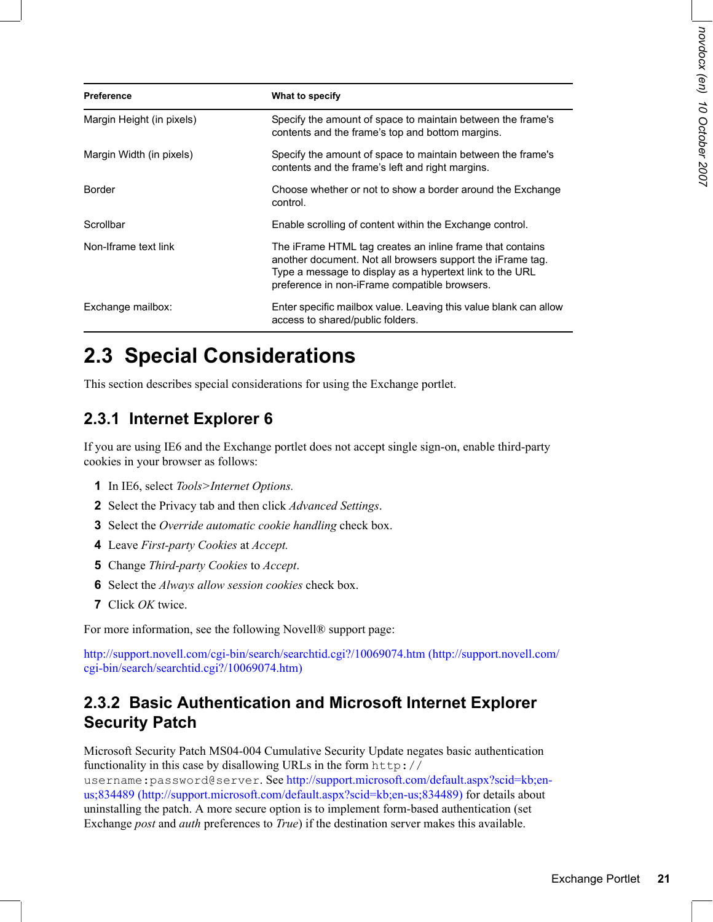| <b>Preference</b>         | What to specify                                                                                                                                                                                                                      |
|---------------------------|--------------------------------------------------------------------------------------------------------------------------------------------------------------------------------------------------------------------------------------|
| Margin Height (in pixels) | Specify the amount of space to maintain between the frame's<br>contents and the frame's top and bottom margins.                                                                                                                      |
| Margin Width (in pixels)  | Specify the amount of space to maintain between the frame's<br>contents and the frame's left and right margins.                                                                                                                      |
| Border                    | Choose whether or not to show a border around the Exchange<br>control.                                                                                                                                                               |
| Scrollbar                 | Enable scrolling of content within the Exchange control.                                                                                                                                                                             |
| Non-Iframe text link      | The iFrame HTML tag creates an inline frame that contains<br>another document. Not all browsers support the iFrame tag.<br>Type a message to display as a hypertext link to the URL<br>preference in non-iFrame compatible browsers. |
| Exchange mailbox:         | Enter specific mailbox value. Leaving this value blank can allow<br>access to shared/public folders.                                                                                                                                 |

## <span id="page-20-0"></span>**2.3 Special Considerations**

This section describes special considerations for using the Exchange portlet.

### <span id="page-20-1"></span>**2.3.1 Internet Explorer 6**

If you are using IE6 and the Exchange portlet does not accept single sign-on, enable third-party cookies in your browser as follows:

- **1** In IE6, select *Tools>Internet Options.*
- **2** Select the Privacy tab and then click *Advanced Settings*.
- **3** Select the *Override automatic cookie handling* check box.
- **4** Leave *First-party Cookies* at *Accept.*
- **5** Change *Third-party Cookies* to *Accept*.
- **6** Select the *Always allow session cookies* check box.
- **7** Click *OK* twice.

For more information, see the following Novell® support page:

<http://support.novell.com/cgi-bin/search/searchtid.cgi?/10069074.htm> (http://support.novell.com/ cgi-bin/search/searchtid.cgi?/10069074.htm)

### <span id="page-20-2"></span>**2.3.2 Basic Authentication and Microsoft Internet Explorer Security Patch**

Microsoft Security Patch MS04-004 Cumulative Security Update negates basic authentication functionality in this case by disallowing URLs in the form http:// username:password@server. See [http://support.microsoft.com/default.aspx?scid=kb;en](http://support.microsoft.com/default.aspx?scid=kb;en-us;834489)[us;834489](http://support.microsoft.com/default.aspx?scid=kb;en-us;834489) (http://support.microsoft.com/default.aspx?scid=kb;en-us;834489) for details about uninstalling the patch. A more secure option is to implement form-based authentication (set Exchange *post* and *auth* preferences to *True*) if the destination server makes this available.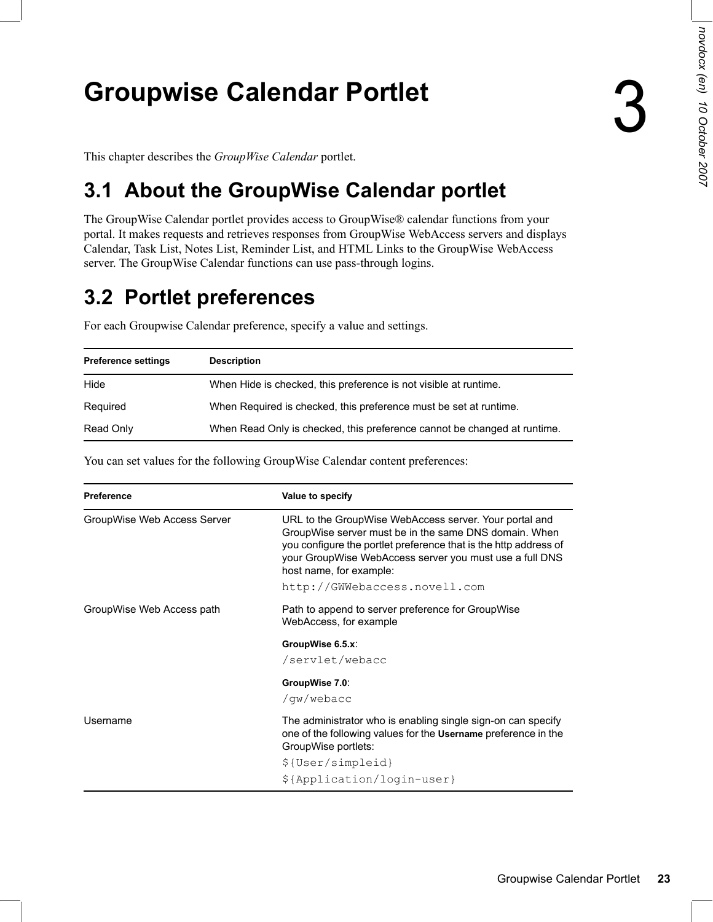# <span id="page-22-3"></span><span id="page-22-0"></span><sup>3</sup>**Groupwise Calendar Portlet**

This chapter describes the *GroupWise Calendar* portlet.

# <span id="page-22-1"></span>**3.1 About the GroupWise Calendar portlet**

The GroupWise Calendar portlet provides access to GroupWise® calendar functions from your portal. It makes requests and retrieves responses from GroupWise WebAccess servers and displays Calendar, Task List, Notes List, Reminder List, and HTML Links to the GroupWise WebAccess server. The GroupWise Calendar functions can use pass-through logins.

## <span id="page-22-2"></span>**3.2 Portlet preferences**

For each Groupwise Calendar preference, specify a value and settings.

| <b>Preference settings</b> | <b>Description</b>                                                       |
|----------------------------|--------------------------------------------------------------------------|
| Hide                       | When Hide is checked, this preference is not visible at runtime.         |
| Required                   | When Required is checked, this preference must be set at runtime.        |
| Read Only                  | When Read Only is checked, this preference cannot be changed at runtime. |

You can set values for the following GroupWise Calendar content preferences:

| <b>Preference</b>           | Value to specify                                                                                                                                                                                                                                                          |
|-----------------------------|---------------------------------------------------------------------------------------------------------------------------------------------------------------------------------------------------------------------------------------------------------------------------|
| GroupWise Web Access Server | URL to the GroupWise WebAccess server. Your portal and<br>GroupWise server must be in the same DNS domain. When<br>you configure the portlet preference that is the http address of<br>your GroupWise WebAccess server you must use a full DNS<br>host name, for example: |
|                             | http://GWWebaccess.novell.com                                                                                                                                                                                                                                             |
| GroupWise Web Access path   | Path to append to server preference for GroupWise<br>WebAccess, for example                                                                                                                                                                                               |
|                             | GroupWise 6.5.x:                                                                                                                                                                                                                                                          |
|                             | /servlet/webacc                                                                                                                                                                                                                                                           |
|                             | GroupWise 7.0:                                                                                                                                                                                                                                                            |
|                             | /qw/webacc                                                                                                                                                                                                                                                                |
| Username                    | The administrator who is enabling single sign-on can specify<br>one of the following values for the Username preference in the<br>GroupWise portlets:                                                                                                                     |
|                             | \${User/simpleid}                                                                                                                                                                                                                                                         |
|                             | \${Application/login-user}                                                                                                                                                                                                                                                |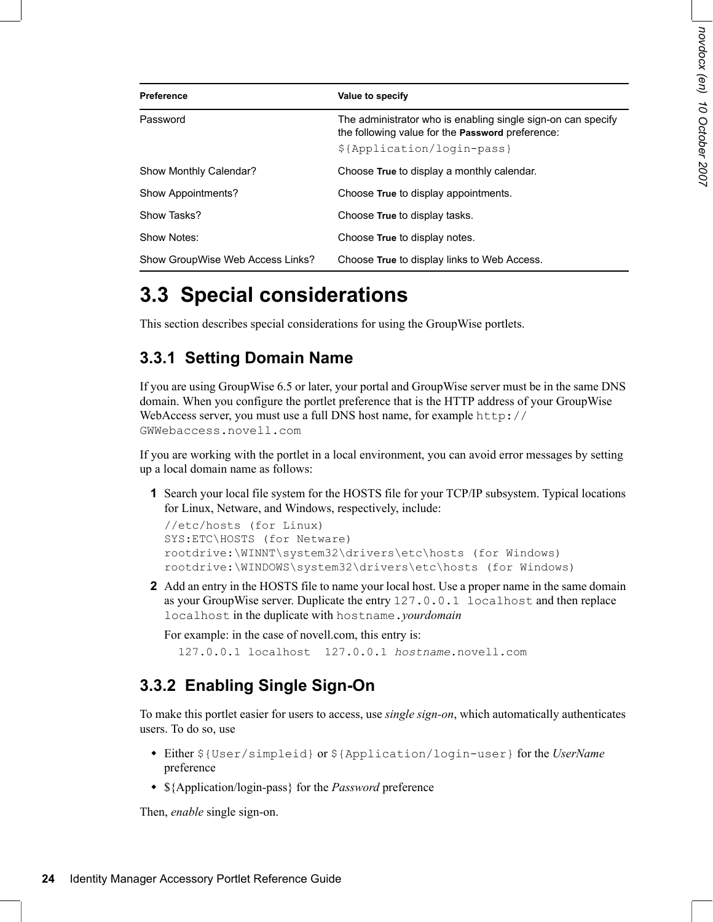| <b>Preference</b>                | Value to specify                                                                                                                                      |  |
|----------------------------------|-------------------------------------------------------------------------------------------------------------------------------------------------------|--|
| Password                         | The administrator who is enabling single sign-on can specify<br>the following value for the <b>Password</b> preference:<br>\${Application/login-pass} |  |
| Show Monthly Calendar?           | Choose True to display a monthly calendar.                                                                                                            |  |
| Show Appointments?               | Choose True to display appointments.                                                                                                                  |  |
| Show Tasks?                      | Choose True to display tasks.                                                                                                                         |  |
| Show Notes:                      | Choose True to display notes.                                                                                                                         |  |
| Show GroupWise Web Access Links? | Choose True to display links to Web Access.                                                                                                           |  |

# <span id="page-23-0"></span>**3.3 Special considerations**

This section describes special considerations for using the GroupWise portlets.

### <span id="page-23-1"></span>**3.3.1 Setting Domain Name**

If you are using GroupWise 6.5 or later, your portal and GroupWise server must be in the same DNS domain. When you configure the portlet preference that is the HTTP address of your GroupWise WebAccess server, you must use a full DNS host name, for example http:// GWWebaccess.novell.com

If you are working with the portlet in a local environment, you can avoid error messages by setting up a local domain name as follows:

**1** Search your local file system for the HOSTS file for your TCP/IP subsystem. Typical locations for Linux, Netware, and Windows, respectively, include:

```
//etc/hosts (for Linux)
SYS:ETC\HOSTS (for Netware)
rootdrive:\WINNT\system32\drivers\etc\hosts (for Windows)
rootdrive:\WINDOWS\system32\drivers\etc\hosts (for Windows)
```
**2** Add an entry in the HOSTS file to name your local host. Use a proper name in the same domain as your GroupWise server. Duplicate the entry 127.0.0.1 localhost and then replace localhost in the duplicate with hostname.*yourdomain*

For example: in the case of novell.com, this entry is:

127.0.0.1 localhost 127.0.0.1 *hostname*.novell.com

### <span id="page-23-2"></span>**3.3.2 Enabling Single Sign-On**

To make this portlet easier for users to access, use *single sign-on*, which automatically authenticates users. To do so, use

- Either \${User/simpleid} or \${Application/login-user} for the *UserName*  preference
- \${Application/login-pass} for the *Password* preference

Then, *enable* single sign-on.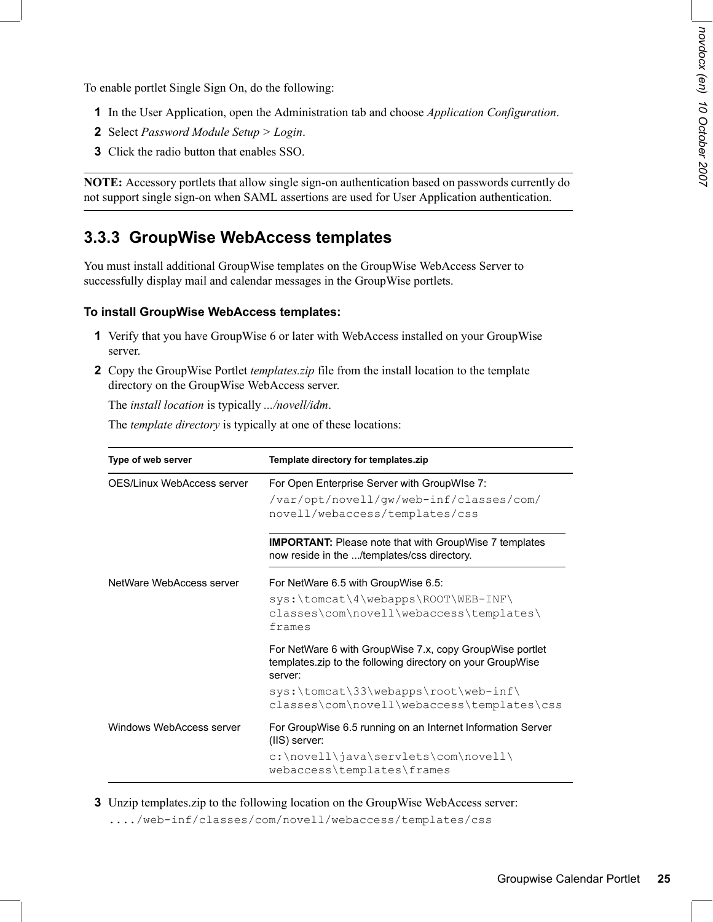To enable portlet Single Sign On, do the following:

- **1** In the User Application, open the Administration tab and choose *Application Configuration*.
- **2** Select *Password Module Setup > Login*.
- **3** Click the radio button that enables SSO.

**NOTE:** Accessory portlets that allow single sign-on authentication based on passwords currently do not support single sign-on when SAML assertions are used for User Application authentication.

### <span id="page-24-0"></span>**3.3.3 GroupWise WebAccess templates**

You must install additional GroupWise templates on the GroupWise WebAccess Server to successfully display mail and calendar messages in the GroupWise portlets.

#### **To install GroupWise WebAccess templates:**

- **1** Verify that you have GroupWise 6 or later with WebAccess installed on your GroupWise server.
- **2** Copy the GroupWise Portlet *templates.zip* file from the install location to the template directory on the GroupWise WebAccess server.

The *install location* is typically *.../novell/idm*.

The *template directory* is typically at one of these locations:

| Type of web server         | Template directory for templates.zip                                                                                                                                                                                    |
|----------------------------|-------------------------------------------------------------------------------------------------------------------------------------------------------------------------------------------------------------------------|
| OES/Linux WebAccess server | For Open Enterprise Server with GroupWIse 7:<br>/var/opt/novell/gw/web-inf/classes/com/<br>novell/webaccess/templates/css                                                                                               |
|                            | <b>IMPORTANT:</b> Please note that with GroupWise 7 templates<br>now reside in the /templates/css directory.                                                                                                            |
| NetWare WebAccess server   | For NetWare 6.5 with GroupWise 6.5:<br>sys:\tomcat\4\webapps\ROOT\WEB-INF\<br>classes\com\novell\webaccess\templates\<br>frames                                                                                         |
|                            | For NetWare 6 with GroupWise 7.x, copy GroupWise portlet<br>templates.zip to the following directory on your GroupWise<br>server:<br>sys:\tomcat\33\webapps\root\web-inf\<br>classes\com\novell\webaccess\templates\css |
| Windows WebAccess server   | For GroupWise 6.5 running on an Internet Information Server<br>(IIS) server:<br>c:\novell\java\servlets\com\novell\<br>webaccess\templates\frames                                                                       |

**3** Unzip templates.zip to the following location on the GroupWise WebAccess server:

..../web-inf/classes/com/novell/webaccess/templates/css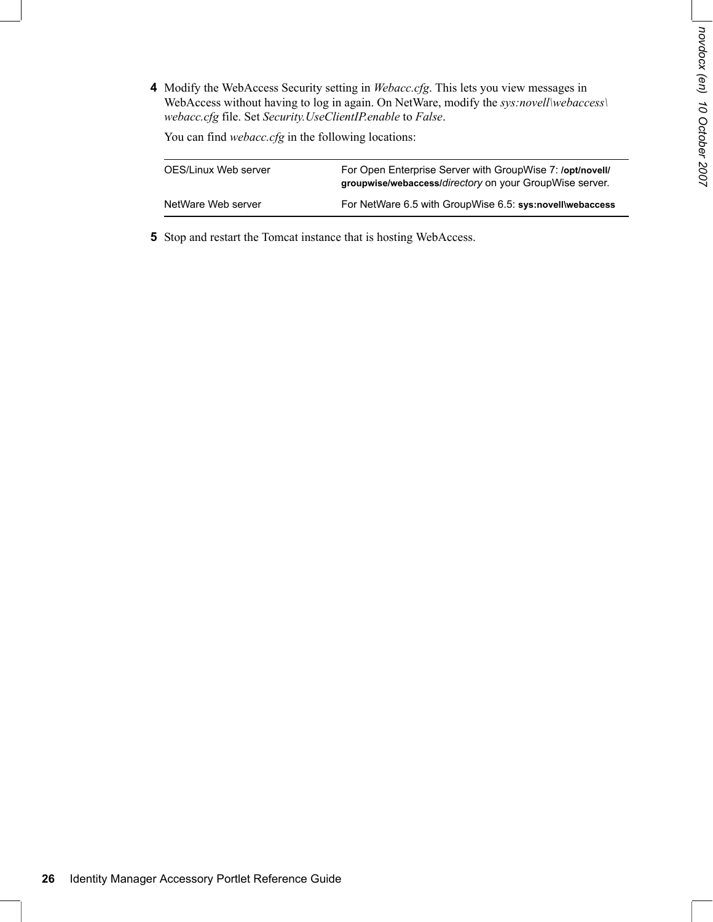**4** Modify the WebAccess Security setting in *Webacc.cfg*. This lets you view messages in WebAccess without having to log in again. On NetWare, modify the *sys:novell\webaccess\ webacc.cfg* file. Set *Security.UseClientIP.enable* to *False*.

You can find *webacc.cfg* in the following locations:

| OES/Linux Web server | For Open Enterprise Server with GroupWise 7: <i>lopt/novell/</i><br>groupwise/webaccess/directory on your GroupWise server. |
|----------------------|-----------------------------------------------------------------------------------------------------------------------------|
| NetWare Web server   | For NetWare 6.5 with GroupWise 6.5: sys:novell\webaccess                                                                    |

**5** Stop and restart the Tomcat instance that is hosting WebAccess.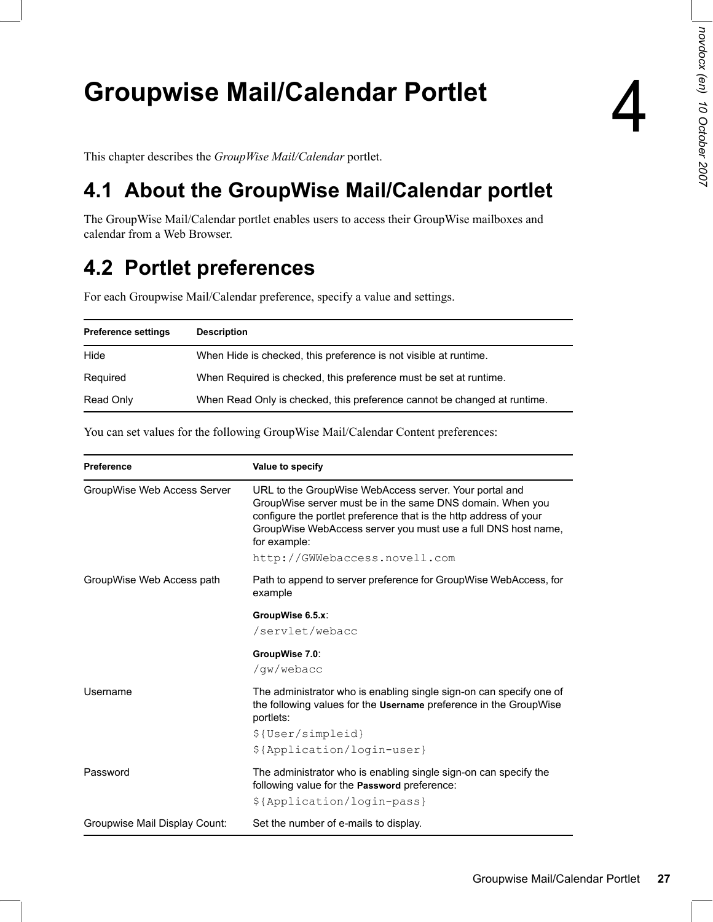# <span id="page-26-3"></span><span id="page-26-0"></span><sup>4</sup>**Groupwise Mail/Calendar Portlet**

This chapter describes the *GroupWise Mail/Calendar* portlet.

## <span id="page-26-1"></span>**4.1 About the GroupWise Mail/Calendar portlet**

The GroupWise Mail/Calendar portlet enables users to access their GroupWise mailboxes and calendar from a Web Browser.

## <span id="page-26-2"></span>**4.2 Portlet preferences**

For each Groupwise Mail/Calendar preference, specify a value and settings.

| <b>Preference settings</b> | <b>Description</b>                                                       |
|----------------------------|--------------------------------------------------------------------------|
| Hide                       | When Hide is checked, this preference is not visible at runtime.         |
| Required                   | When Required is checked, this preference must be set at runtime.        |
| Read Only                  | When Read Only is checked, this preference cannot be changed at runtime. |

You can set values for the following GroupWise Mail/Calendar Content preferences:

| <b>Preference</b>             | Value to specify                                                                                                                                                                                                                                                                                           |
|-------------------------------|------------------------------------------------------------------------------------------------------------------------------------------------------------------------------------------------------------------------------------------------------------------------------------------------------------|
| GroupWise Web Access Server   | URL to the GroupWise WebAccess server. Your portal and<br>GroupWise server must be in the same DNS domain. When you<br>configure the portlet preference that is the http address of your<br>GroupWise WebAccess server you must use a full DNS host name,<br>for example:<br>http://GWWebaccess.novell.com |
| GroupWise Web Access path     | Path to append to server preference for GroupWise WebAccess, for<br>example                                                                                                                                                                                                                                |
|                               | GroupWise 6.5.x:<br>/servlet/webacc                                                                                                                                                                                                                                                                        |
|                               | GroupWise 7.0:<br>/qw/webacc                                                                                                                                                                                                                                                                               |
| Username                      | The administrator who is enabling single sign-on can specify one of<br>the following values for the Username preference in the GroupWise<br>portlets:<br>\${User/simpleid}<br>\${Application/login-user}                                                                                                   |
| Password                      | The administrator who is enabling single sign-on can specify the<br>following value for the Password preference:<br>\${Application/login-pass}                                                                                                                                                             |
| Groupwise Mail Display Count: | Set the number of e-mails to display.                                                                                                                                                                                                                                                                      |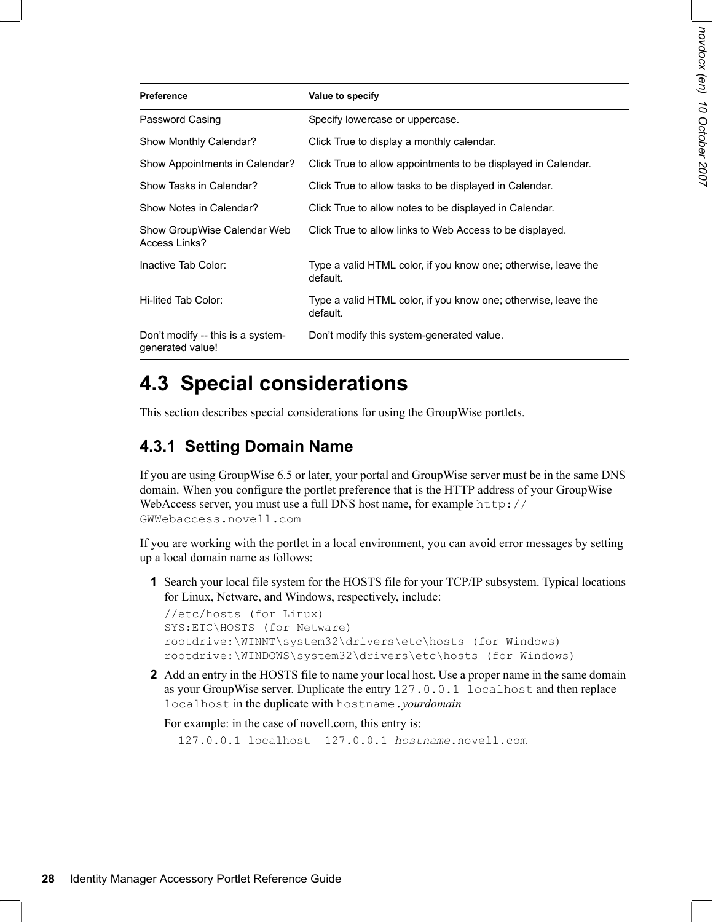| <b>Preference</b>                                     | Value to specify                                                           |
|-------------------------------------------------------|----------------------------------------------------------------------------|
| Password Casing                                       | Specify lowercase or uppercase.                                            |
| Show Monthly Calendar?                                | Click True to display a monthly calendar.                                  |
| Show Appointments in Calendar?                        | Click True to allow appointments to be displayed in Calendar.              |
| Show Tasks in Calendar?                               | Click True to allow tasks to be displayed in Calendar.                     |
| Show Notes in Calendar?                               | Click True to allow notes to be displayed in Calendar.                     |
| Show GroupWise Calendar Web<br>Access Links?          | Click True to allow links to Web Access to be displayed.                   |
| Inactive Tab Color:                                   | Type a valid HTML color, if you know one; otherwise, leave the<br>default. |
| Hi-lited Tab Color:                                   | Type a valid HTML color, if you know one; otherwise, leave the<br>default. |
| Don't modify -- this is a system-<br>generated value! | Don't modify this system-generated value.                                  |

# <span id="page-27-0"></span>**4.3 Special considerations**

This section describes special considerations for using the GroupWise portlets.

### <span id="page-27-1"></span>**4.3.1 Setting Domain Name**

If you are using GroupWise 6.5 or later, your portal and GroupWise server must be in the same DNS domain. When you configure the portlet preference that is the HTTP address of your GroupWise WebAccess server, you must use a full DNS host name, for example http:// GWWebaccess.novell.com

If you are working with the portlet in a local environment, you can avoid error messages by setting up a local domain name as follows:

**1** Search your local file system for the HOSTS file for your TCP/IP subsystem. Typical locations for Linux, Netware, and Windows, respectively, include:

```
//etc/hosts (for Linux)
SYS:ETC\HOSTS (for Netware)
rootdrive:\WINNT\system32\drivers\etc\hosts (for Windows) 
rootdrive:\WINDOWS\system32\drivers\etc\hosts (for Windows)
```
**2** Add an entry in the HOSTS file to name your local host. Use a proper name in the same domain as your GroupWise server. Duplicate the entry 127.0.0.1 localhost and then replace localhost in the duplicate with hostname.*yourdomain*

For example: in the case of novell.com, this entry is:

127.0.0.1 localhost 127.0.0.1 *hostname*.novell.com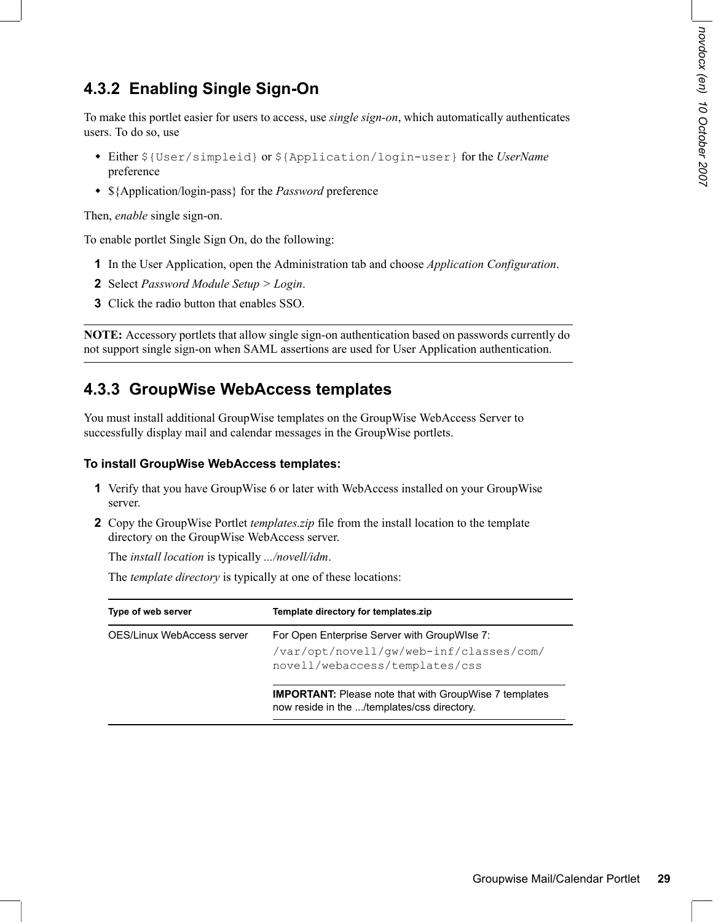## <span id="page-28-0"></span>**4.3.2 Enabling Single Sign-On**

To make this portlet easier for users to access, use *single sign-on*, which automatically authenticates users. To do so, use

- Either \${User/simpleid} or \${Application/login-user} for the *UserName*  preference
- \${Application/login-pass} for the *Password* preference

Then, *enable* single sign-on.

To enable portlet Single Sign On, do the following:

- **1** In the User Application, open the Administration tab and choose *Application Configuration*.
- **2** Select *Password Module Setup > Login*.
- **3** Click the radio button that enables SSO.

**NOTE:** Accessory portlets that allow single sign-on authentication based on passwords currently do not support single sign-on when SAML assertions are used for User Application authentication.

### <span id="page-28-1"></span>**4.3.3 GroupWise WebAccess templates**

You must install additional GroupWise templates on the GroupWise WebAccess Server to successfully display mail and calendar messages in the GroupWise portlets.

#### **To install GroupWise WebAccess templates:**

- **1** Verify that you have GroupWise 6 or later with WebAccess installed on your GroupWise server.
- **2** Copy the GroupWise Portlet *templates.zip* file from the install location to the template directory on the GroupWise WebAccess server.

The *install location* is typically *.../novell/idm*.

The *template directory* is typically at one of these locations:

| Type of web server         | Template directory for templates.zip                                                                                      |
|----------------------------|---------------------------------------------------------------------------------------------------------------------------|
| OES/Linux WebAccess server | For Open Enterprise Server with GroupWIse 7:<br>/var/opt/novell/gw/web-inf/classes/com/<br>novell/webaccess/templates/css |
|                            | <b>IMPORTANT:</b> Please note that with GroupWise 7 templates<br>now reside in the /templates/css directory.              |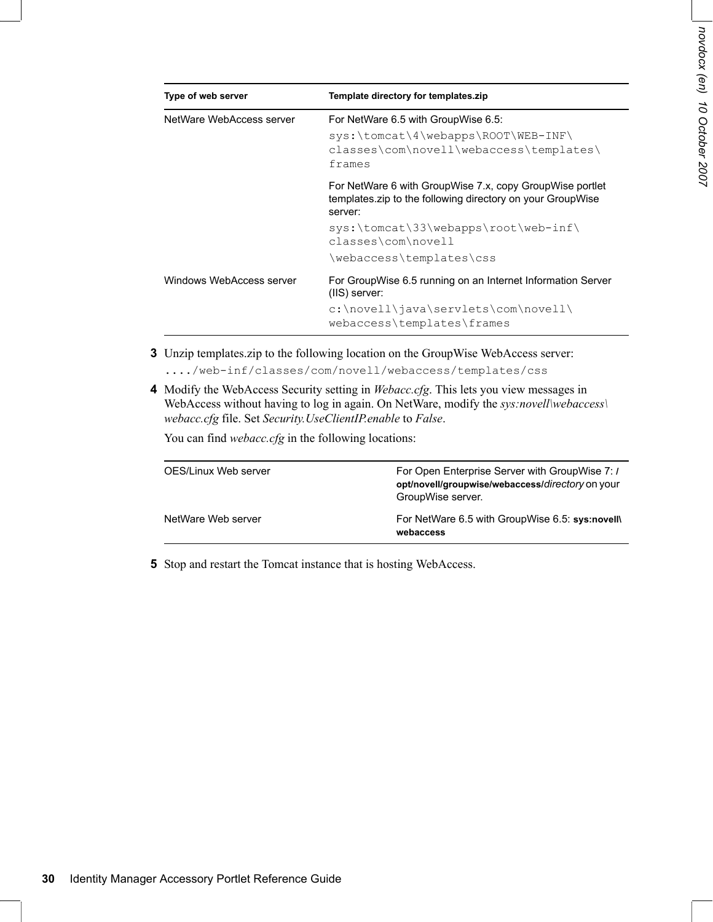| Type of web server       | Template directory for templates.zip                                                                                                                                                                                        |
|--------------------------|-----------------------------------------------------------------------------------------------------------------------------------------------------------------------------------------------------------------------------|
| NetWare WebAccess server | For NetWare 6.5 with GroupWise 6.5:<br>sys:\tomcat\4\webapps\ROOT\WEB-INF\<br>classes\com\novell\webaccess\templates\<br>frames                                                                                             |
|                          | For NetWare 6 with GroupWise 7.x, copy GroupWise portlet<br>templates zip to the following directory on your GroupWise<br>server:<br>sys:\tomcat\33\webapps\root\web-inf\<br>classes\com\novell<br>\webaccess\templates\css |
| Windows WebAccess server | For GroupWise 6.5 running on an Internet Information Server<br>(IIS) server:<br>c:\novell\java\servlets\com\novell\<br>webaccess\templates\frames                                                                           |

- **3** Unzip templates.zip to the following location on the GroupWise WebAccess server: ..../web-inf/classes/com/novell/webaccess/templates/css
- **4** Modify the WebAccess Security setting in *Webacc.cfg*. This lets you view messages in WebAccess without having to log in again. On NetWare, modify the *sys:novell\webaccess\ webacc.cfg* file. Set *Security.UseClientIP.enable* to *False*.

You can find *webacc.cfg* in the following locations:

| OES/Linux Web server | For Open Enterprise Server with GroupWise 7: /<br>opt/novell/groupwise/webaccess/directory on your<br>GroupWise server. |
|----------------------|-------------------------------------------------------------------------------------------------------------------------|
| NetWare Web server   | For NetWare 6.5 with GroupWise 6.5: sys:novell<br>webaccess                                                             |

**5** Stop and restart the Tomcat instance that is hosting WebAccess.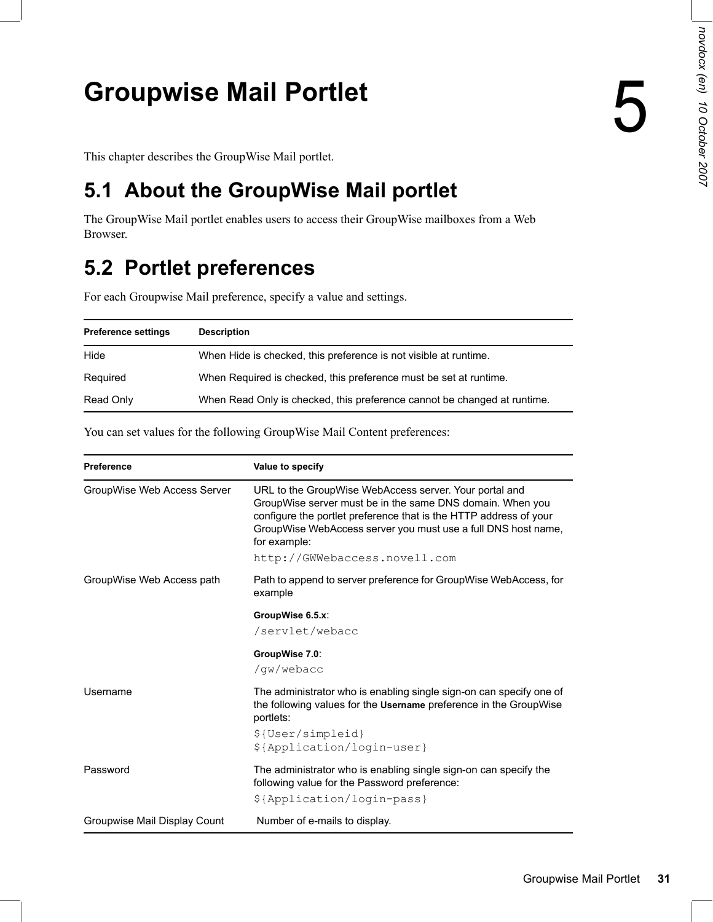# <span id="page-30-3"></span><span id="page-30-0"></span><sup>5</sup>**Groupwise Mail Portlet**

This chapter describes the GroupWise Mail portlet.

## <span id="page-30-1"></span>**5.1 About the GroupWise Mail portlet**

The GroupWise Mail portlet enables users to access their GroupWise mailboxes from a Web Browser.

## <span id="page-30-2"></span>**5.2 Portlet preferences**

For each Groupwise Mail preference, specify a value and settings.

| <b>Preference settings</b> | <b>Description</b>                                                       |
|----------------------------|--------------------------------------------------------------------------|
| Hide                       | When Hide is checked, this preference is not visible at runtime.         |
| Required                   | When Required is checked, this preference must be set at runtime.        |
| Read Only                  | When Read Only is checked, this preference cannot be changed at runtime. |

You can set values for the following GroupWise Mail Content preferences:

| <b>Preference</b>            | Value to specify                                                                                                                                                                                                                                                                                           |
|------------------------------|------------------------------------------------------------------------------------------------------------------------------------------------------------------------------------------------------------------------------------------------------------------------------------------------------------|
| GroupWise Web Access Server  | URL to the GroupWise WebAccess server. Your portal and<br>GroupWise server must be in the same DNS domain. When you<br>configure the portlet preference that is the HTTP address of your<br>GroupWise WebAccess server you must use a full DNS host name,<br>for example:<br>http://GWWebaccess.novell.com |
| GroupWise Web Access path    | Path to append to server preference for GroupWise WebAccess, for<br>example                                                                                                                                                                                                                                |
|                              | GroupWise 6.5.x:<br>/servlet/webacc                                                                                                                                                                                                                                                                        |
|                              | GroupWise 7.0:<br>/qw/webacc                                                                                                                                                                                                                                                                               |
| Username                     | The administrator who is enabling single sign-on can specify one of<br>the following values for the Username preference in the GroupWise<br>portlets:<br>\${User/simpleid}<br>\${Application/login-user}                                                                                                   |
| Password                     | The administrator who is enabling single sign-on can specify the<br>following value for the Password preference:<br>\${Application/login-pass}                                                                                                                                                             |
| Groupwise Mail Display Count | Number of e-mails to display.                                                                                                                                                                                                                                                                              |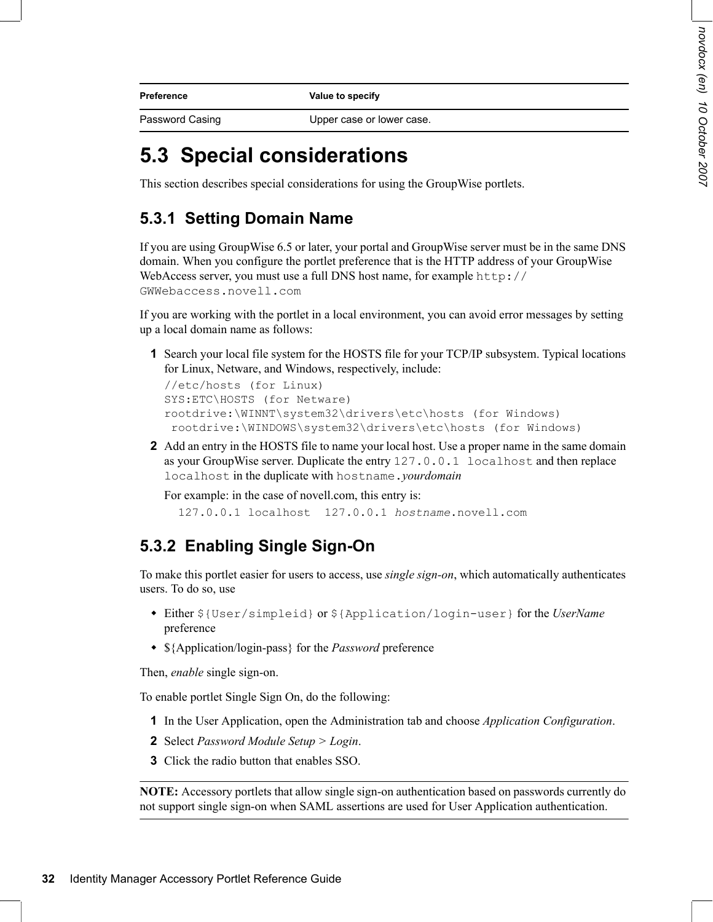**Preference Value to specify**

Password Casing **Example 20** Upper case or lower case.

## <span id="page-31-0"></span>**5.3 Special considerations**

This section describes special considerations for using the GroupWise portlets.

## <span id="page-31-1"></span>**5.3.1 Setting Domain Name**

If you are using GroupWise 6.5 or later, your portal and GroupWise server must be in the same DNS domain. When you configure the portlet preference that is the HTTP address of your GroupWise WebAccess server, you must use a full DNS host name, for example http:// GWWebaccess.novell.com

If you are working with the portlet in a local environment, you can avoid error messages by setting up a local domain name as follows:

**1** Search your local file system for the HOSTS file for your TCP/IP subsystem. Typical locations for Linux, Netware, and Windows, respectively, include:

```
//etc/hosts (for Linux)
SYS:ETC\HOSTS (for Netware)
rootdrive:\WINNT\system32\drivers\etc\hosts (for Windows)
 rootdrive:\WINDOWS\system32\drivers\etc\hosts (for Windows)
```
**2** Add an entry in the HOSTS file to name your local host. Use a proper name in the same domain as your GroupWise server. Duplicate the entry 127.0.0.1 localhost and then replace localhost in the duplicate with hostname.*yourdomain*

For example: in the case of novell.com, this entry is: 127.0.0.1 localhost 127.0.0.1 *hostname*.novell.com

### <span id="page-31-2"></span>**5.3.2 Enabling Single Sign-On**

To make this portlet easier for users to access, use *single sign-on*, which automatically authenticates users. To do so, use

- Either \${User/simpleid} or \${Application/login-user} for the *UserName*  preference
- \${Application/login-pass} for the *Password* preference

Then, *enable* single sign-on.

To enable portlet Single Sign On, do the following:

- **1** In the User Application, open the Administration tab and choose *Application Configuration*.
- **2** Select *Password Module Setup > Login*.
- **3** Click the radio button that enables SSO.

**NOTE:** Accessory portlets that allow single sign-on authentication based on passwords currently do not support single sign-on when SAML assertions are used for User Application authentication.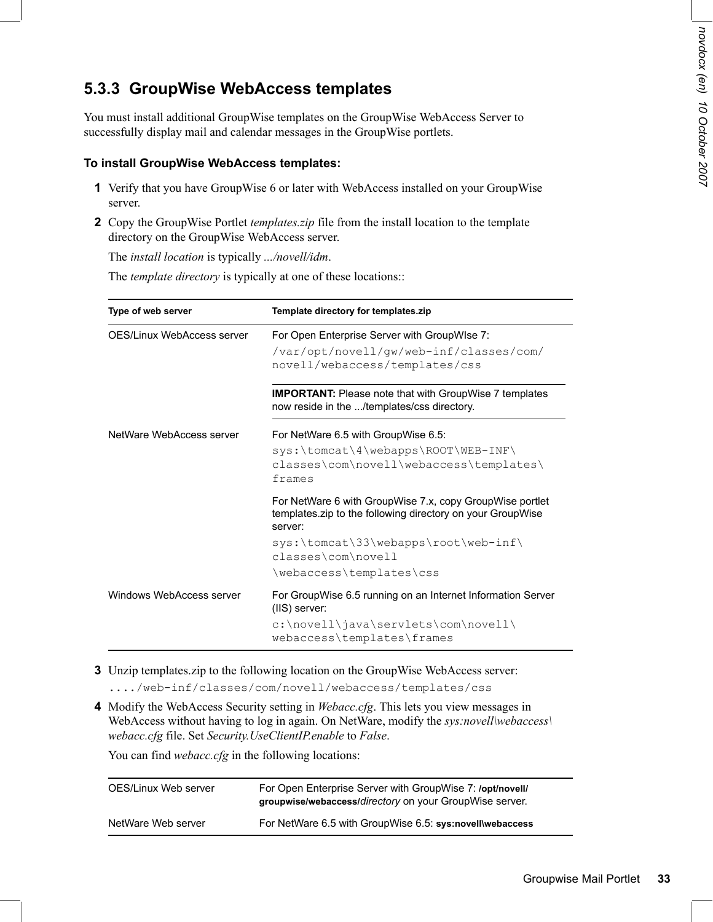### <span id="page-32-0"></span>**5.3.3 GroupWise WebAccess templates**

You must install additional GroupWise templates on the GroupWise WebAccess Server to successfully display mail and calendar messages in the GroupWise portlets.

#### **To install GroupWise WebAccess templates:**

- **1** Verify that you have GroupWise 6 or later with WebAccess installed on your GroupWise server.
- **2** Copy the GroupWise Portlet *templates.zip* file from the install location to the template directory on the GroupWise WebAccess server.

The *install location* is typically *.../novell/idm*.

The *template directory* is typically at one of these locations::

| Type of web server         | Template directory for templates.zip                                                                                                                                                                                        |
|----------------------------|-----------------------------------------------------------------------------------------------------------------------------------------------------------------------------------------------------------------------------|
| OES/Linux WebAccess server | For Open Enterprise Server with GroupWIse 7:<br>/var/opt/novell/gw/web-inf/classes/com/<br>novell/webaccess/templates/css                                                                                                   |
|                            | <b>IMPORTANT:</b> Please note that with GroupWise 7 templates<br>now reside in the /templates/css directory.                                                                                                                |
| NetWare WebAccess server   | For NetWare 6.5 with GroupWise 6.5:<br>sys:\tomcat\4\webapps\ROOT\WEB-INF\<br>classes\com\novell\webaccess\templates\<br>frames                                                                                             |
|                            | For NetWare 6 with GroupWise 7.x, copy GroupWise portlet<br>templates.zip to the following directory on your GroupWise<br>server:<br>sys:\tomcat\33\webapps\root\web-inf\<br>classes\com\novell<br>\webaccess\templates\css |
| Windows WebAccess server   | For GroupWise 6.5 running on an Internet Information Server<br>(IIS) server:<br>c:\novell\java\servlets\com\novell\<br>webaccess\templates\frames                                                                           |

- **3** Unzip templates.zip to the following location on the GroupWise WebAccess server: ..../web-inf/classes/com/novell/webaccess/templates/css
- **4** Modify the WebAccess Security setting in *Webacc.cfg*. This lets you view messages in WebAccess without having to log in again. On NetWare, modify the *sys:novell\webaccess\ webacc.cfg* file. Set *Security.UseClientIP.enable* to *False*.

You can find *webacc.cfg* in the following locations:

| OES/Linux Web server | For Open Enterprise Server with GroupWise 7: <i>lopt/novell/</i><br>groupwise/webaccess/directory on your GroupWise server. |
|----------------------|-----------------------------------------------------------------------------------------------------------------------------|
| NetWare Web server   | For NetWare 6.5 with GroupWise 6.5: sys:novell\webaccess                                                                    |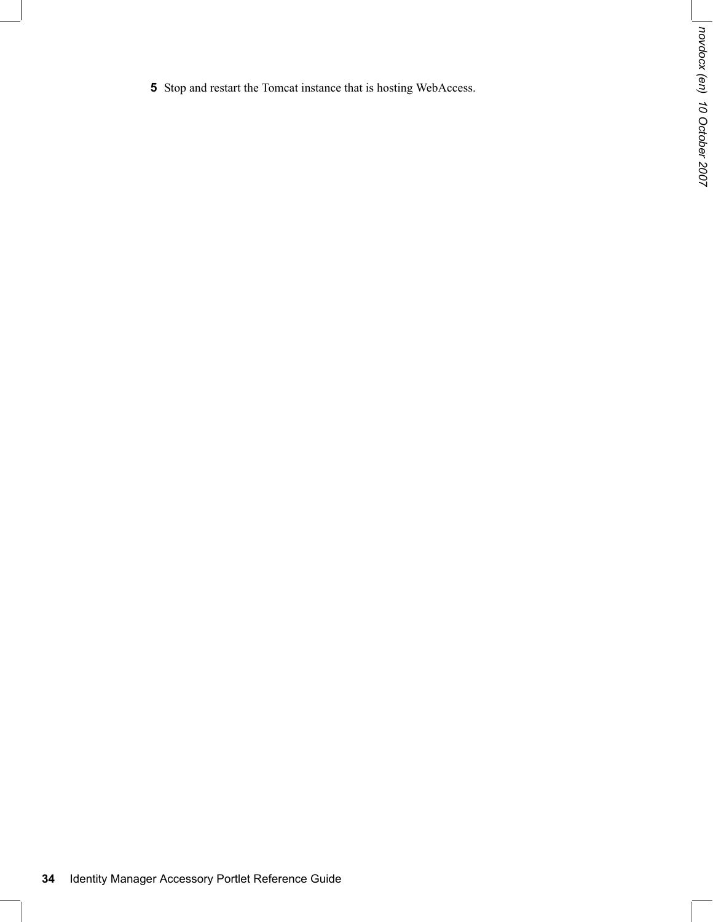Stop and restart the Tomcat instance that is hosting WebAccess.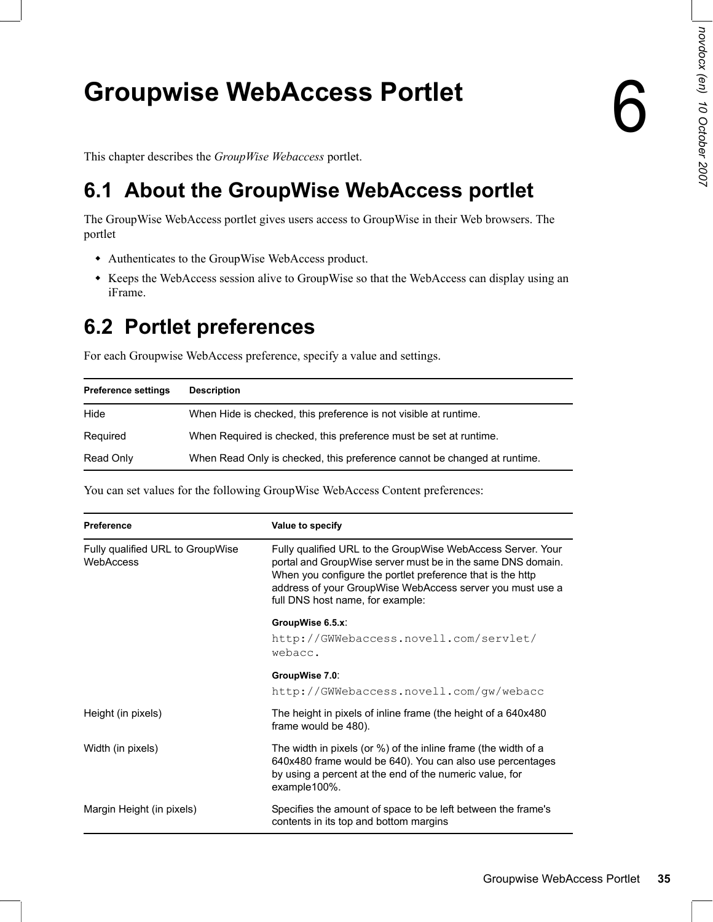# <span id="page-34-3"></span><span id="page-34-0"></span><sup>6</sup>**Groupwise WebAccess Portlet**

This chapter describes the *GroupWise Webaccess* portlet.

## <span id="page-34-1"></span>**6.1 About the GroupWise WebAccess portlet**

The GroupWise WebAccess portlet gives users access to GroupWise in their Web browsers. The portlet

- Authenticates to the GroupWise WebAccess product.
- Keeps the WebAccess session alive to GroupWise so that the WebAccess can display using an iFrame.

## <span id="page-34-2"></span>**6.2 Portlet preferences**

For each Groupwise WebAccess preference, specify a value and settings.

| <b>Preference settings</b> | <b>Description</b>                                                       |
|----------------------------|--------------------------------------------------------------------------|
| Hide                       | When Hide is checked, this preference is not visible at runtime.         |
| Required                   | When Required is checked, this preference must be set at runtime.        |
| Read Only                  | When Read Only is checked, this preference cannot be changed at runtime. |

You can set values for the following GroupWise WebAccess Content preferences:

| <b>Preference</b>                             | Value to specify                                                                                                                                                                                                                                                                          |
|-----------------------------------------------|-------------------------------------------------------------------------------------------------------------------------------------------------------------------------------------------------------------------------------------------------------------------------------------------|
| Fully qualified URL to GroupWise<br>WebAccess | Fully qualified URL to the GroupWise WebAccess Server. Your<br>portal and GroupWise server must be in the same DNS domain.<br>When you configure the portlet preference that is the http<br>address of your GroupWise WebAccess server you must use a<br>full DNS host name, for example: |
|                                               | GroupWise 6.5.x:<br>http://GWWebaccess.novell.com/servlet/<br>webacc.                                                                                                                                                                                                                     |
|                                               | GroupWise 7.0:<br>http://GWWebaccess.novell.com/qw/webacc                                                                                                                                                                                                                                 |
| Height (in pixels)                            | The height in pixels of inline frame (the height of a 640x480<br>frame would be 480).                                                                                                                                                                                                     |
| Width (in pixels)                             | The width in pixels (or %) of the inline frame (the width of a<br>640x480 frame would be 640). You can also use percentages<br>by using a percent at the end of the numeric value, for<br>example100%.                                                                                    |
| Margin Height (in pixels)                     | Specifies the amount of space to be left between the frame's<br>contents in its top and bottom margins                                                                                                                                                                                    |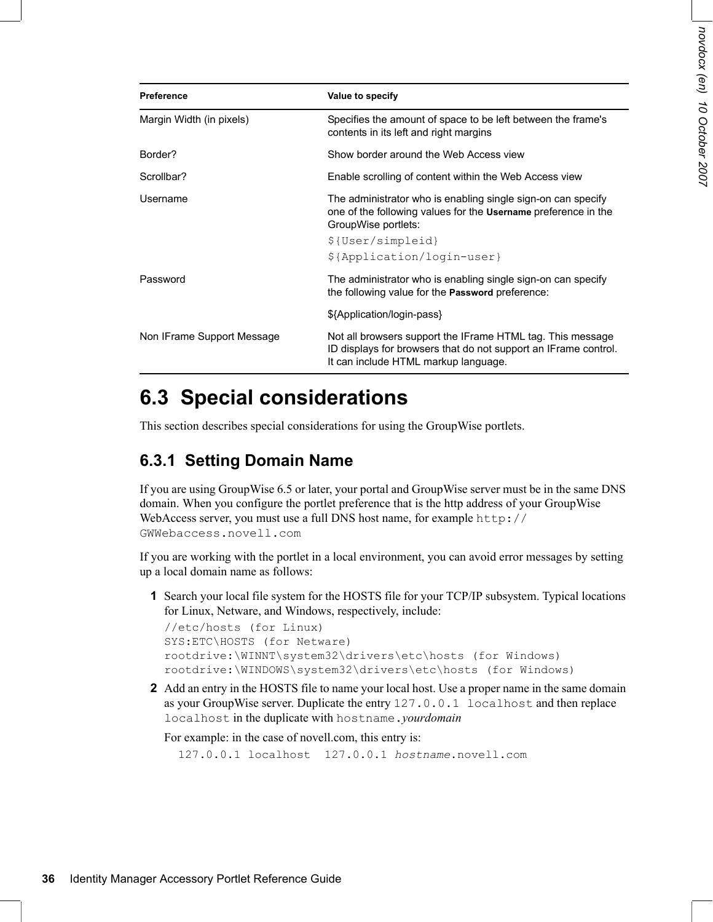| <b>Preference</b>          | Value to specify                                                                                                                                                                                                  |
|----------------------------|-------------------------------------------------------------------------------------------------------------------------------------------------------------------------------------------------------------------|
| Margin Width (in pixels)   | Specifies the amount of space to be left between the frame's<br>contents in its left and right margins                                                                                                            |
| Border?                    | Show border around the Web Access view                                                                                                                                                                            |
| Scrollbar?                 | Enable scrolling of content within the Web Access view                                                                                                                                                            |
| Username                   | The administrator who is enabling single sign-on can specify<br>one of the following values for the <b>Username</b> preference in the<br>GroupWise portlets:<br>$$$ {User/simpleid}<br>\${Application/login-user} |
| Password                   | The administrator who is enabling single sign-on can specify<br>the following value for the <b>Password</b> preference:                                                                                           |
|                            | \${Application/login-pass}                                                                                                                                                                                        |
| Non IFrame Support Message | Not all browsers support the IFrame HTML tag. This message<br>ID displays for browsers that do not support an IF rame control.<br>It can include HTML markup language.                                            |

## <span id="page-35-0"></span>**6.3 Special considerations**

This section describes special considerations for using the GroupWise portlets.

## <span id="page-35-1"></span>**6.3.1 Setting Domain Name**

If you are using GroupWise 6.5 or later, your portal and GroupWise server must be in the same DNS domain. When you configure the portlet preference that is the http address of your GroupWise WebAccess server, you must use a full DNS host name, for example http:// GWWebaccess.novell.com

If you are working with the portlet in a local environment, you can avoid error messages by setting up a local domain name as follows:

**1** Search your local file system for the HOSTS file for your TCP/IP subsystem. Typical locations for Linux, Netware, and Windows, respectively, include:

```
//etc/hosts (for Linux)
SYS:ETC\HOSTS (for Netware)
rootdrive:\WINNT\system32\drivers\etc\hosts (for Windows) 
rootdrive:\WINDOWS\system32\drivers\etc\hosts (for Windows)
```
**2** Add an entry in the HOSTS file to name your local host. Use a proper name in the same domain as your GroupWise server. Duplicate the entry 127.0.0.1 localhost and then replace localhost in the duplicate with hostname.*yourdomain*

For example: in the case of novell.com, this entry is:

127.0.0.1 localhost 127.0.0.1 *hostname*.novell.com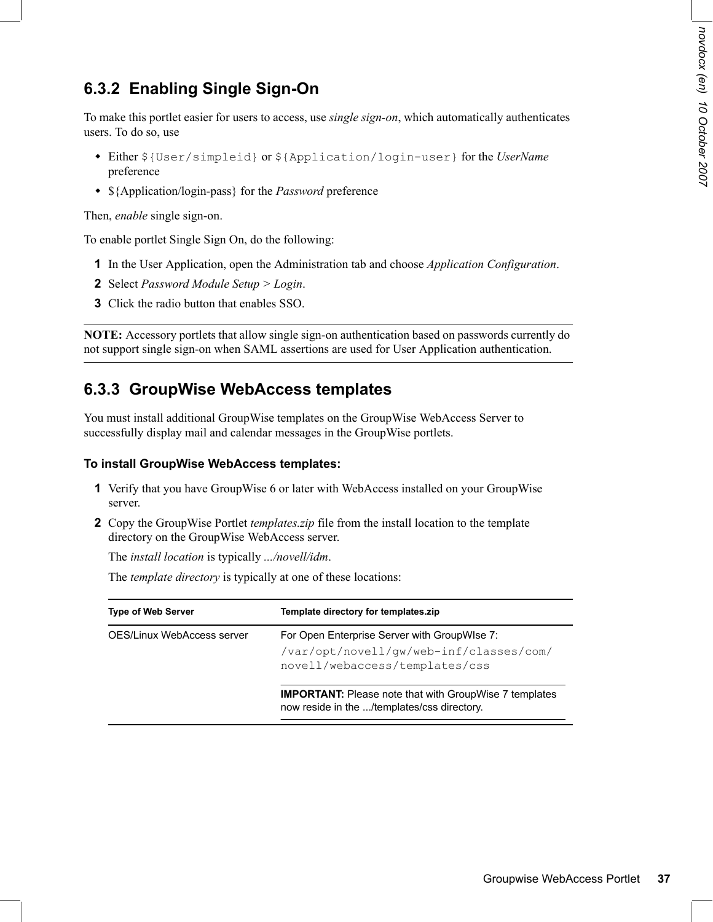#### **6.3.2 Enabling Single Sign-On**

To make this portlet easier for users to access, use *single sign-on*, which automatically authenticates users. To do so, use

- Either \${User/simpleid} or \${Application/login-user} for the *UserName*  preference
- \${Application/login-pass} for the *Password* preference

Then, *enable* single sign-on.

To enable portlet Single Sign On, do the following:

- **1** In the User Application, open the Administration tab and choose *Application Configuration*.
- **2** Select *Password Module Setup > Login*.
- **3** Click the radio button that enables SSO.

**NOTE:** Accessory portlets that allow single sign-on authentication based on passwords currently do not support single sign-on when SAML assertions are used for User Application authentication.

#### **6.3.3 GroupWise WebAccess templates**

You must install additional GroupWise templates on the GroupWise WebAccess Server to successfully display mail and calendar messages in the GroupWise portlets.

#### **To install GroupWise WebAccess templates:**

- **1** Verify that you have GroupWise 6 or later with WebAccess installed on your GroupWise server.
- **2** Copy the GroupWise Portlet *templates.zip* file from the install location to the template directory on the GroupWise WebAccess server.

The *install location* is typically *.../novell/idm*.

The *template directory* is typically at one of these locations:

| <b>Type of Web Server</b>  | Template directory for templates.zip                                                                                      |
|----------------------------|---------------------------------------------------------------------------------------------------------------------------|
| OES/Linux WebAccess server | For Open Enterprise Server with GroupWIse 7:<br>/var/opt/novell/qw/web-inf/classes/com/<br>novell/webaccess/templates/css |
|                            | <b>IMPORTANT:</b> Please note that with GroupWise 7 templates<br>now reside in the /templates/css directory.              |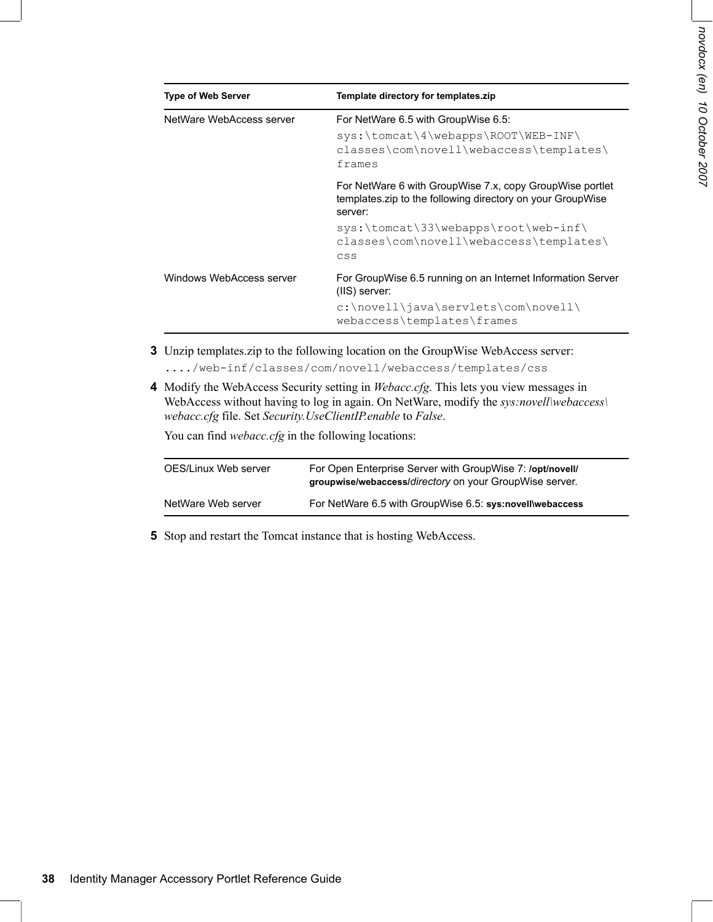| <b>Type of Web Server</b> | Template directory for templates.zip                                                                                                              |
|---------------------------|---------------------------------------------------------------------------------------------------------------------------------------------------|
| NetWare WebAccess server  | For NetWare 6.5 with GroupWise 6.5:<br>sys:\tomcat\4\webapps\ROOT\WEB-INF\<br>classes\com\novell\webaccess\templates\<br>frames                   |
|                           | For NetWare 6 with GroupWise 7.x, copy GroupWise portlet<br>templates zip to the following directory on your GroupWise<br>server:                 |
|                           | sys:\tomcat\33\webapps\root\web-inf\<br>classes\com\novell\webaccess\templates\<br>CSS                                                            |
| Windows WebAccess server  | For GroupWise 6.5 running on an Internet Information Server<br>(IIS) server:<br>c:\novell\java\servlets\com\novell\<br>webaccess\templates\frames |

- **3** Unzip templates.zip to the following location on the GroupWise WebAccess server: ..../web-inf/classes/com/novell/webaccess/templates/css
- **4** Modify the WebAccess Security setting in *Webacc.cfg*. This lets you view messages in WebAccess without having to log in again. On NetWare, modify the *sys:novell\webaccess\ webacc.cfg* file. Set *Security.UseClientIP.enable* to *False*.

You can find *webacc.cfg* in the following locations:

| OES/Linux Web server | For Open Enterprise Server with GroupWise 7: <i>lopt/novell/</i><br>groupwise/webaccess/directory on your GroupWise server. |
|----------------------|-----------------------------------------------------------------------------------------------------------------------------|
| NetWare Web server   | For NetWare 6.5 with GroupWise 6.5: sys:novell\webaccess                                                                    |

**5** Stop and restart the Tomcat instance that is hosting WebAccess.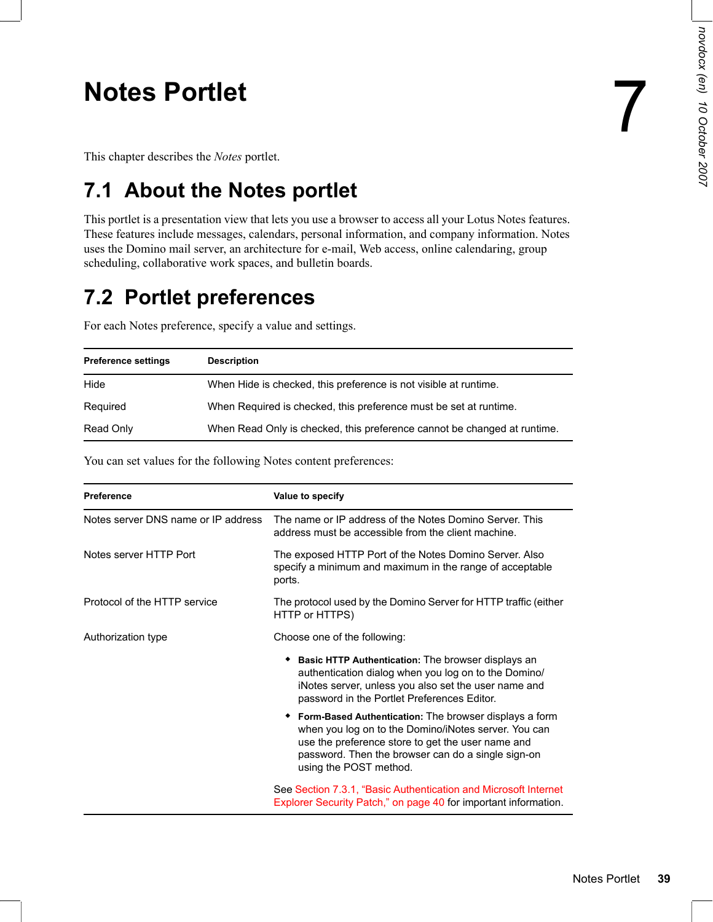# <sup>7</sup>**Notes Portlet**

This chapter describes the *Notes* portlet.

## **7.1 About the Notes portlet**

This portlet is a presentation view that lets you use a browser to access all your Lotus Notes features. These features include messages, calendars, personal information, and company information. Notes uses the Domino mail server, an architecture for e-mail, Web access, online calendaring, group scheduling, collaborative work spaces, and bulletin boards.

#### **7.2 Portlet preferences**

For each Notes preference, specify a value and settings.

| <b>Preference settings</b> | <b>Description</b>                                                       |
|----------------------------|--------------------------------------------------------------------------|
| Hide                       | When Hide is checked, this preference is not visible at runtime.         |
| Required                   | When Required is checked, this preference must be set at runtime.        |
| Read Only                  | When Read Only is checked, this preference cannot be changed at runtime. |

You can set values for the following Notes content preferences:

| <b>Preference</b>                   | Value to specify                                                                                                                                                                                                                                      |
|-------------------------------------|-------------------------------------------------------------------------------------------------------------------------------------------------------------------------------------------------------------------------------------------------------|
| Notes server DNS name or IP address | The name or IP address of the Notes Domino Server. This<br>address must be accessible from the client machine.                                                                                                                                        |
| Notes server HTTP Port              | The exposed HTTP Port of the Notes Domino Server. Also<br>specify a minimum and maximum in the range of acceptable<br>ports.                                                                                                                          |
| Protocol of the HTTP service        | The protocol used by the Domino Server for HTTP traffic (either<br>HTTP or HTTPS)                                                                                                                                                                     |
| Authorization type                  | Choose one of the following:                                                                                                                                                                                                                          |
|                                     | <b>Basic HTTP Authentication:</b> The browser displays an<br>authentication dialog when you log on to the Domino/<br>iNotes server, unless you also set the user name and<br>password in the Portlet Preferences Editor.                              |
|                                     | • Form-Based Authentication: The browser displays a form<br>when you log on to the Domino/iNotes server. You can<br>use the preference store to get the user name and<br>password. Then the browser can do a single sign-on<br>using the POST method. |
|                                     | See Section 7.3.1, "Basic Authentication and Microsoft Internet<br>Explorer Security Patch," on page 40 for important information.                                                                                                                    |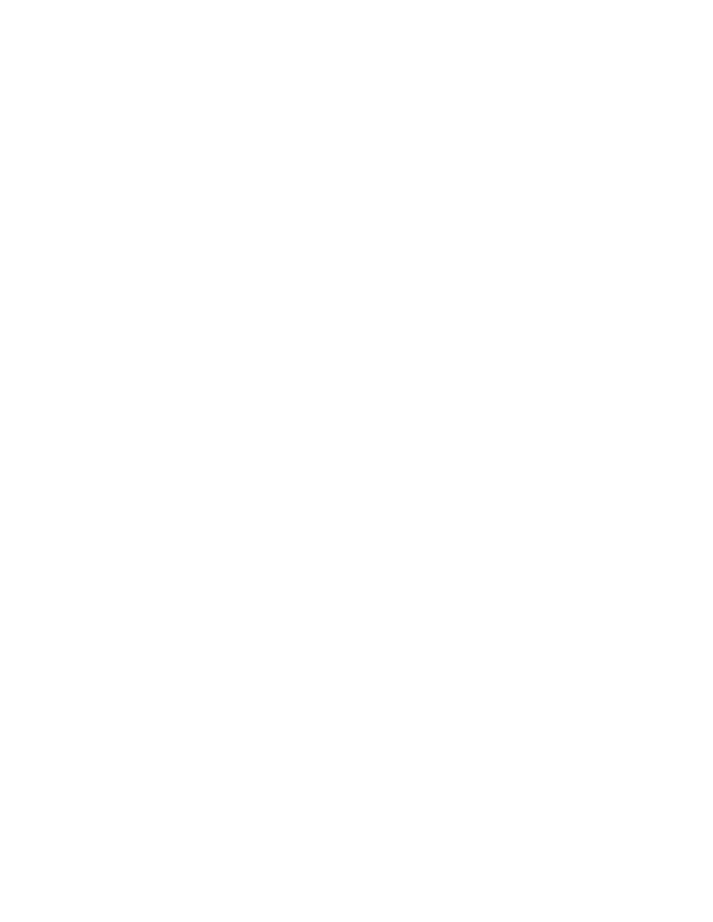# **Notes Portlet**

This chapter describes the Notes portlet.

## 7.1 About the Notes portlet

This portlet is a presentation view that lets you use a browser to access all your Lotus Notes features. These features include messages, calendars, personal information, and company information. Notes uses the Domino mail server, an architecture for e-mail, Web access, online calendaring, group scheduling, collaborative work spaces, and bulletin boards.

## 7.2 Portlet preferences

For each Notes preference, specify a value and settings.

| Preference settings | Description                                                             |  |
|---------------------|-------------------------------------------------------------------------|--|
| Hide                | When Hide is checked, this preference is not visible at runtime.        |  |
| <b>Required</b>     | When Required is checked, this preference must be set at runtime.       |  |
| <b>Read Only</b>    | When Read Only is checked, thip reference cannot be changed at runtime. |  |

You can set values for the following Notes content preferences:

| Preference                          | Value to specify                                                                                                                                                                                                                                   |
|-------------------------------------|----------------------------------------------------------------------------------------------------------------------------------------------------------------------------------------------------------------------------------------------------|
| Notes server DNS name or IP address | The name or IP address of the Notes Domino Server. This<br>address must be accessible from the client machine.                                                                                                                                     |
| <b>Notes server HTTP Port</b>       | The exposed HTTP Port of the Notes Domino Server. Also<br>specify a minimum and maximum in the range of acceptable<br>ports.                                                                                                                       |
| <b>Protocol of the HTTP service</b> | The protocol uslegithe Domino Server for HTTP traffic (either<br>HTTP or HTTPS)                                                                                                                                                                    |
| <b>Authorization type</b>           | Choose one of the following:                                                                                                                                                                                                                       |
|                                     | The browser displays an<br>◆ Basic HTP Authentication:<br>authentication dialog when you log on to the Domino/<br>iNotes server, unless you also set the user name and<br>password in the Portlet Preferences Editor.                              |
|                                     | ◆ Form-Based Authentication: The browser displays a form<br>when you log on to the Domino/iNotes server. ou can<br>use the preference store tget the user name and<br>password. Then the browser can do a single sign-on<br>using the POST method. |
|                                     | See Section 7.3.1, Basic Authentication and Microsoft Internet<br><b>Explorer Security Patch, on page 40or important information.</b>                                                                                                              |